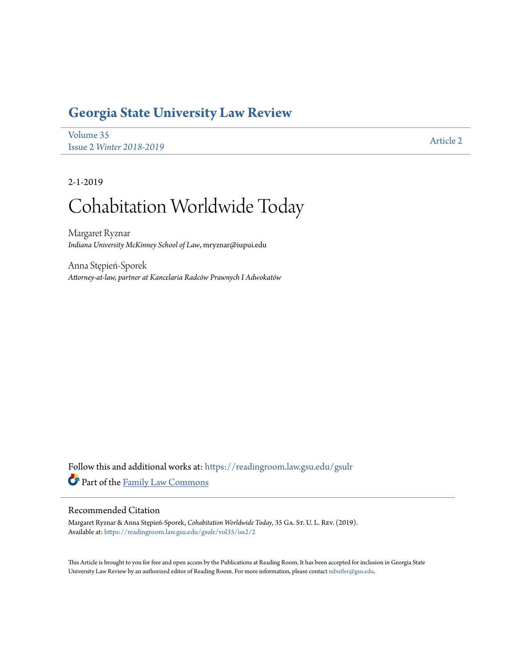## **[Georgia State University Law Review](https://readingroom.law.gsu.edu/gsulr?utm_source=readingroom.law.gsu.edu%2Fgsulr%2Fvol35%2Fiss2%2F2&utm_medium=PDF&utm_campaign=PDFCoverPages)**

[Volume 35](https://readingroom.law.gsu.edu/gsulr/vol35?utm_source=readingroom.law.gsu.edu%2Fgsulr%2Fvol35%2Fiss2%2F2&utm_medium=PDF&utm_campaign=PDFCoverPages) Issue 2 *[Winter 2018-2019](https://readingroom.law.gsu.edu/gsulr/vol35/iss2?utm_source=readingroom.law.gsu.edu%2Fgsulr%2Fvol35%2Fiss2%2F2&utm_medium=PDF&utm_campaign=PDFCoverPages)* [Article 2](https://readingroom.law.gsu.edu/gsulr/vol35/iss2/2?utm_source=readingroom.law.gsu.edu%2Fgsulr%2Fvol35%2Fiss2%2F2&utm_medium=PDF&utm_campaign=PDFCoverPages)

2-1-2019

# Cohabitation Worldwide Today

Margaret Ryznar *Indiana University McKinney School of Law*, mryznar@iupui.edu

Anna Stępień-Sporek *Attorney-at-law, partner at Kancelaria Radców Prawnych I Adwokatów*

Follow this and additional works at: [https://readingroom.law.gsu.edu/gsulr](https://readingroom.law.gsu.edu/gsulr?utm_source=readingroom.law.gsu.edu%2Fgsulr%2Fvol35%2Fiss2%2F2&utm_medium=PDF&utm_campaign=PDFCoverPages) Part of the [Family Law Commons](http://network.bepress.com/hgg/discipline/602?utm_source=readingroom.law.gsu.edu%2Fgsulr%2Fvol35%2Fiss2%2F2&utm_medium=PDF&utm_campaign=PDFCoverPages)

## Recommended Citation

Margaret Ryznar & Anna Stępień-Sporek, *Cohabitation Worldwide Today*, 35 Ga. St. U. L. Rev. (2019). Available at: [https://readingroom.law.gsu.edu/gsulr/vol35/iss2/2](https://readingroom.law.gsu.edu/gsulr/vol35/iss2/2?utm_source=readingroom.law.gsu.edu%2Fgsulr%2Fvol35%2Fiss2%2F2&utm_medium=PDF&utm_campaign=PDFCoverPages)

This Article is brought to you for free and open access by the Publications at Reading Room. It has been accepted for inclusion in Georgia State University Law Review by an authorized editor of Reading Room. For more information, please contact [mbutler@gsu.edu.](mailto:mbutler@gsu.edu)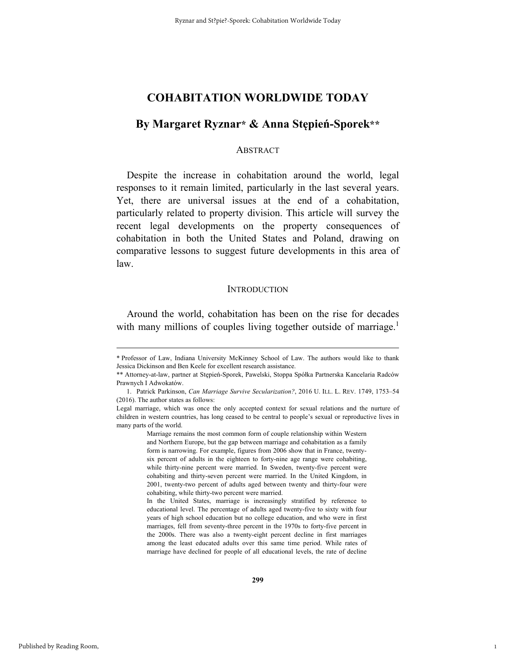## **By Margaret Ryznar\* & Anna Stępień-Sporek\*\***

#### **ABSTRACT**

Despite the increase in cohabitation around the world, legal responses to it remain limited, particularly in the last several years. Yet, there are universal issues at the end of a cohabitation, particularly related to property division. This article will survey the recent legal developments on the property consequences of cohabitation in both the United States and Poland, drawing on comparative lessons to suggest future developments in this area of law.

#### **INTRODUCTION**

Around the world, cohabitation has been on the rise for decades with many millions of couples living together outside of marriage.<sup>1</sup>

1

 <sup>\*</sup> Professor of Law, Indiana University McKinney School of Law. The authors would like to thank Jessica Dickinson and Ben Keele for excellent research assistance.

<sup>\*\*</sup> Attorney-at-law, partner at Stępień-Sporek, Pawelski, Stoppa Spółka Partnerska Kancelaria Radców Prawnych I Adwokatów.

 <sup>1.</sup> Patrick Parkinson, *Can Marriage Survive Secularization?*, 2016 U. ILL. L. REV. 1749, 1753–54 (2016). The author states as follows:

Legal marriage, which was once the only accepted context for sexual relations and the nurture of children in western countries, has long ceased to be central to people's sexual or reproductive lives in many parts of the world.

Marriage remains the most common form of couple relationship within Western and Northern Europe, but the gap between marriage and cohabitation as a family form is narrowing. For example, figures from 2006 show that in France, twentysix percent of adults in the eighteen to forty-nine age range were cohabiting, while thirty-nine percent were married. In Sweden, twenty-five percent were cohabiting and thirty-seven percent were married. In the United Kingdom, in 2001, twenty-two percent of adults aged between twenty and thirty-four were cohabiting, while thirty-two percent were married.

In the United States, marriage is increasingly stratified by reference to educational level. The percentage of adults aged twenty-five to sixty with four years of high school education but no college education, and who were in first marriages, fell from seventy-three percent in the 1970s to forty-five percent in the 2000s. There was also a twenty-eight percent decline in first marriages among the least educated adults over this same time period. While rates of marriage have declined for people of all educational levels, the rate of decline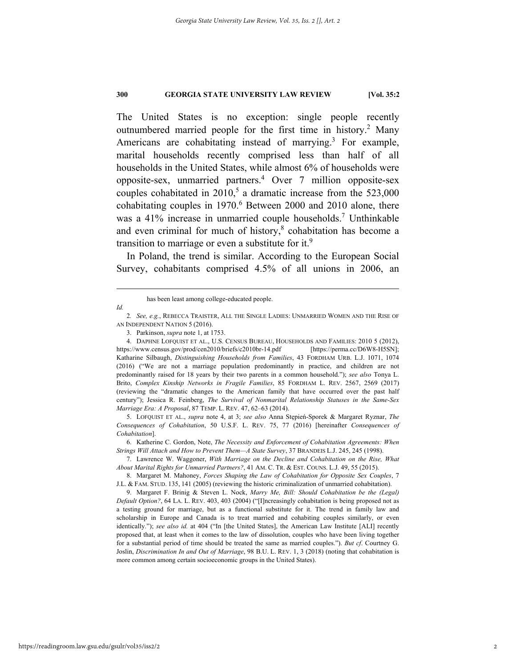The United States is no exception: single people recently outnumbered married people for the first time in history.<sup>2</sup> Many Americans are cohabitating instead of marrying.<sup>3</sup> For example, marital households recently comprised less than half of all households in the United States, while almost 6% of households were opposite-sex, unmarried partners.4 Over 7 million opposite-sex couples cohabitated in  $2010<sup>5</sup>$  a dramatic increase from the 523,000 cohabitating couples in  $1970.<sup>6</sup>$  Between 2000 and 2010 alone, there was a 41% increase in unmarried couple households.<sup>7</sup> Unthinkable and even criminal for much of history, $8$  cohabitation has become a transition to marriage or even a substitute for it.<sup>9</sup>

In Poland, the trend is similar. According to the European Social Survey, cohabitants comprised 4.5% of all unions in 2006, an

*Id.* 

5. LOFQUIST ET AL., *supra* note 4, at 3; *see also* Anna Stępień-Sporek & Margaret Ryznar, *The Consequences of Cohabitation*, 50 U.S.F. L. REV. 75, 77 (2016) [hereinafter *Consequences of Cohabitation*].

 6. Katherine C. Gordon, Note, *The Necessity and Enforcement of Cohabitation Agreements: When Strings Will Attach and How to Prevent Them—A State Survey*, 37 BRANDEIS L.J. 245, 245 (1998).

 7. Lawrence W. Waggoner, *With Marriage on the Decline and Cohabitation on the Rise, What About Marital Rights for Unmarried Partners?*, 41 AM. C. TR. & EST. COUNS. L.J. 49, 55 (2015).

 8. Margaret M. Mahoney, *Forces Shaping the Law of Cohabitation for Opposite Sex Couples*, 7 J.L. & FAM. STUD. 135, 141 (2005) (reviewing the historic criminalization of unmarried cohabitation).

 9. Margaret F. Brinig & Steven L. Nock, *Marry Me, Bill: Should Cohabitation be the (Legal) Default Option?*, 64 LA. L. REV. 403, 403 (2004) ("[I]ncreasingly cohabitation is being proposed not as a testing ground for marriage, but as a functional substitute for it. The trend in family law and scholarship in Europe and Canada is to treat married and cohabiting couples similarly, or even identically."); see also id. at 404 ("In [the United States], the American Law Institute [ALI] recently proposed that, at least when it comes to the law of dissolution, couples who have been living together for a substantial period of time should be treated the same as married couples."). *But cf*. Courtney G. Joslin, *Discrimination In and Out of Marriage*, 98 B.U. L. REV. 1, 3 (2018) (noting that cohabitation is more common among certain socioeconomic groups in the United States).

has been least among college-educated people.

<sup>2</sup>*. See, e.g.*, REBECCA TRAISTER, ALL THE SINGLE LADIES: UNMARRIED WOMEN AND THE RISE OF AN INDEPENDENT NATION 5 (2016).

 <sup>3.</sup> Parkinson, *supra* note 1, at 1753.

 <sup>4.</sup> DAPHNE LOFQUIST ET AL., U.S. CENSUS BUREAU, HOUSEHOLDS AND FAMILIES: 2010 5 (2012), https://www.census.gov/prod/cen2010/briefs/c2010br-14.pdf [https://perma.cc/D6W8-H5SN]; Katharine Silbaugh, *Distinguishing Households from Families*, 43 FORDHAM URB. L.J. 1071, 1074 (2016) ("We are not a marriage population predominantly in practice, and children are not predominantly raised for 18 years by their two parents in a common household."); *see also* Tonya L. Brito, *Complex Kinship Networks in Fragile Families*, 85 FORDHAM L. REV. 2567, 2569 (2017) (reviewing the "dramatic changes to the American family that have occurred over the past half century"); Jessica R. Feinberg, *The Survival of Nonmarital Relationship Statuses in the Same-Sex Marriage Era: A Proposal*, 87 TEMP. L. REV. 47, 62–63 (2014).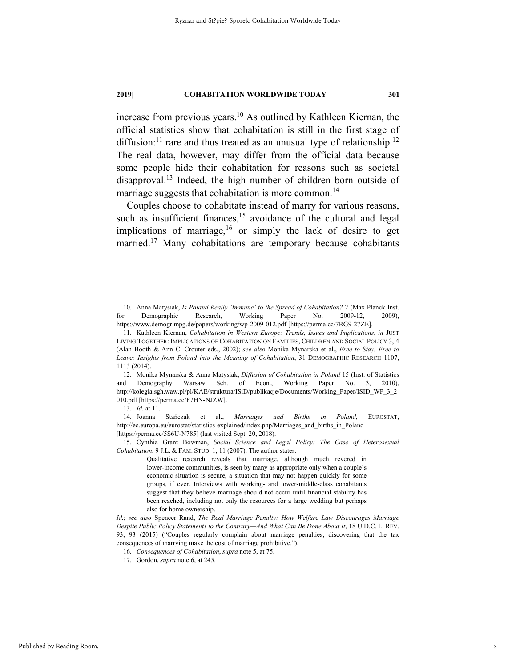increase from previous years.<sup>10</sup> As outlined by Kathleen Kiernan, the official statistics show that cohabitation is still in the first stage of diffusion:<sup>11</sup> rare and thus treated as an unusual type of relationship.<sup>12</sup> The real data, however, may differ from the official data because some people hide their cohabitation for reasons such as societal disapproval.<sup>13</sup> Indeed, the high number of children born outside of marriage suggests that cohabitation is more common.<sup>14</sup>

Couples choose to cohabitate instead of marry for various reasons, such as insufficient finances,<sup>15</sup> avoidance of the cultural and legal implications of marriage,<sup>16</sup> or simply the lack of desire to get married.<sup>17</sup> Many cohabitations are temporary because cohabitants

 12. Monika Mynarska & Anna Matysiak, *Diffusion of Cohabitation in Poland* 15 (Inst. of Statistics and Demography Warsaw Sch. of Econ., Working Paper No. 3, 2010), http://kolegia.sgh.waw.pl/pl/KAE/struktura/ISiD/publikacje/Documents/Working\_Paper/ISID\_WP\_3\_2 010.pdf [https://perma.cc/F7HN-NJZW].

13*. Id.* at 11.

 14. Joanna Stańczak et al., *Marriages and Births in Poland*, EUROSTAT, http://ec.europa.eu/eurostat/statistics-explained/index.php/Marriages\_and\_births\_in\_Poland [https://perma.cc/5S6U-N785] (last visited Sept. 20, 2018).

 15. Cynthia Grant Bowman, *Social Science and Legal Policy: The Case of Heterosexual Cohabitation*, 9 J.L. & FAM. STUD. 1, 11 (2007). The author states:

> Qualitative research reveals that marriage, although much revered in lower-income communities, is seen by many as appropriate only when a couple's economic situation is secure, a situation that may not happen quickly for some groups, if ever. Interviews with working- and lower-middle-class cohabitants suggest that they believe marriage should not occur until financial stability has been reached, including not only the resources for a large wedding but perhaps also for home ownership.

*Id.*; *see also* Spencer Rand, *The Real Marriage Penalty: How Welfare Law Discourages Marriage Despite Public Policy Statements to the Contrary—And What Can Be Done About It*, 18 U.D.C. L. REV. 93, 93 (2015) ("Couples regularly complain about marriage penalties, discovering that the tax consequences of marrying make the cost of marriage prohibitive.").

 <sup>10.</sup> Anna Matysiak, *Is Poland Really 'Immune' to the Spread of Cohabitation?* 2 (Max Planck Inst. for Demographic Research, Working Paper No. 2009-12, 2009), https://www.demogr.mpg.de/papers/working/wp-2009-012.pdf [https://perma.cc/7RG9-27ZE].

 <sup>11.</sup> Kathleen Kiernan, *Cohabitation in Western Europe: Trends, Issues and Implications*, *in* JUST LIVING TOGETHER: IMPLICATIONS OF COHABITATION ON FAMILIES, CHILDREN AND SOCIAL POLICY 3, 4 (Alan Booth & Ann C. Crouter eds., 2002); *see also* Monika Mynarska et al., *Free to Stay, Free to Leave: Insights from Poland into the Meaning of Cohabitation*, 31 DEMOGRAPHIC RESEARCH 1107, 1113 (2014).

<sup>16</sup>*. Consequences of Cohabitation*, *supra* note 5, at 75.

 <sup>17.</sup> Gordon, *supra* note 6, at 245.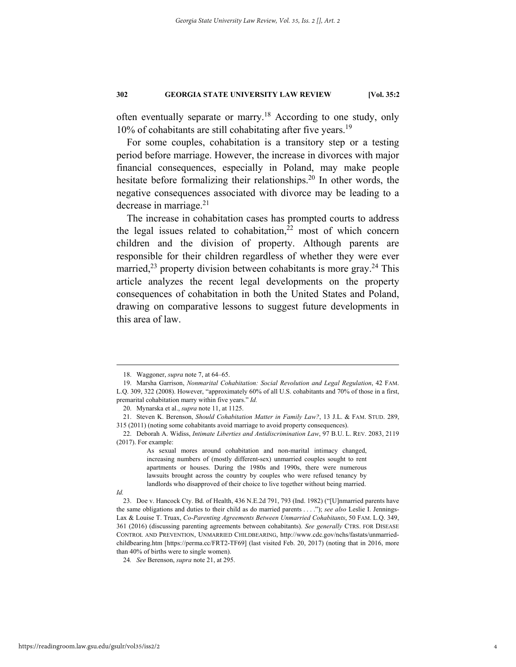often eventually separate or marry.<sup>18</sup> According to one study, only  $10\%$  of cohabitants are still cohabitating after five years.<sup>19</sup>

For some couples, cohabitation is a transitory step or a testing period before marriage. However, the increase in divorces with major financial consequences, especially in Poland, may make people hesitate before formalizing their relationships.<sup>20</sup> In other words, the negative consequences associated with divorce may be leading to a decrease in marriage. $2<sup>1</sup>$ 

The increase in cohabitation cases has prompted courts to address the legal issues related to cohabitation, $22$  most of which concern children and the division of property. Although parents are responsible for their children regardless of whether they were ever married,<sup>23</sup> property division between cohabitants is more gray.<sup>24</sup> This article analyzes the recent legal developments on the property consequences of cohabitation in both the United States and Poland, drawing on comparative lessons to suggest future developments in this area of law.

#### *Id.*

 <sup>18.</sup> Waggoner, *supra* note 7, at 64–65.

 <sup>19.</sup> Marsha Garrison, *Nonmarital Cohabitation: Social Revolution and Legal Regulation*, 42 FAM. L.Q. 309, 322 (2008). However, "approximately 60% of all U.S. cohabitants and 70% of those in a first, premarital cohabitation marry within five years." *Id.*

 <sup>20.</sup> Mynarska et al., *supra* note 11, at 1125.

 <sup>21.</sup> Steven K. Berenson, *Should Cohabitation Matter in Family Law?*, 13 J.L. & FAM. STUD. 289, 315 (2011) (noting some cohabitants avoid marriage to avoid property consequences).

 <sup>22.</sup> Deborah A. Widiss, *Intimate Liberties and Antidiscrimination Law*, 97 B.U. L. REV. 2083, 2119 (2017). For example:

As sexual mores around cohabitation and non-marital intimacy changed, increasing numbers of (mostly different-sex) unmarried couples sought to rent apartments or houses. During the 1980s and 1990s, there were numerous lawsuits brought across the country by couples who were refused tenancy by landlords who disapproved of their choice to live together without being married.

 <sup>23.</sup> Doe v. Hancock Cty. Bd. of Health, 436 N.E.2d 791, 793 (Ind. 1982) ("[U]nmarried parents have the same obligations and duties to their child as do married parents . . . ."); *see also* Leslie I. Jennings-Lax & Louise T. Truax, *Co-Parenting Agreements Between Unmarried Cohabitants*, 50 FAM. L.Q. 349, 361 (2016) (discussing parenting agreements between cohabitants). *See generally* CTRS. FOR DISEASE CONTROL AND PREVENTION, UNMARRIED CHILDBEARING, http://www.cdc.gov/nchs/fastats/unmarriedchildbearing.htm [https://perma.cc/FRT2-TF69] (last visited Feb. 20, 2017) (noting that in 2016, more than 40% of births were to single women).

<sup>24</sup>*. See* Berenson, *supra* note 21, at 295.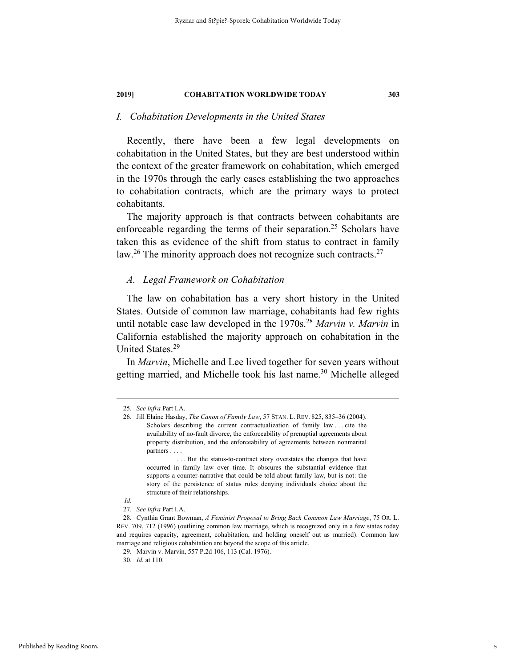## *I. Cohabitation Developments in the United States*

Recently, there have been a few legal developments on cohabitation in the United States, but they are best understood within the context of the greater framework on cohabitation, which emerged in the 1970s through the early cases establishing the two approaches to cohabitation contracts, which are the primary ways to protect cohabitants.

The majority approach is that contracts between cohabitants are enforceable regarding the terms of their separation.<sup>25</sup> Scholars have taken this as evidence of the shift from status to contract in family law.<sup>26</sup> The minority approach does not recognize such contracts.<sup>27</sup>

#### *A. Legal Framework on Cohabitation*

The law on cohabitation has a very short history in the United States. Outside of common law marriage, cohabitants had few rights until notable case law developed in the 1970s.<sup>28</sup> *Marvin v. Marvin* in California established the majority approach on cohabitation in the United States.29

In *Marvin*, Michelle and Lee lived together for seven years without getting married, and Michelle took his last name.<sup>30</sup> Michelle alleged

 <sup>25</sup>*. See infra* Part I.A.

 <sup>26.</sup> Jill Elaine Hasday, *The Canon of Family Law*, 57 STAN. L. REV. 825, 835–36 (2004). Scholars describing the current contractualization of family law . . . cite the availability of no-fault divorce, the enforceability of prenuptial agreements about property distribution, and the enforceability of agreements between nonmarital partners . . . .

 <sup>. . .</sup> But the status-to-contract story overstates the changes that have occurred in family law over time. It obscures the substantial evidence that supports a counter-narrative that could be told about family law, but is not: the story of the persistence of status rules denying individuals choice about the structure of their relationships.

*Id.* 

<sup>27</sup>*. See infra* Part I.A.

 <sup>28.</sup> Cynthia Grant Bowman, *A Feminist Proposal to Bring Back Common Law Marriage*, 75 OR. L. REV. 709, 712 (1996) (outlining common law marriage, which is recognized only in a few states today and requires capacity, agreement, cohabitation, and holding oneself out as married). Common law marriage and religious cohabitation are beyond the scope of this article.

 <sup>29.</sup> Marvin v. Marvin, 557 P.2d 106, 113 (Cal. 1976).

<sup>30</sup>*. Id.* at 110.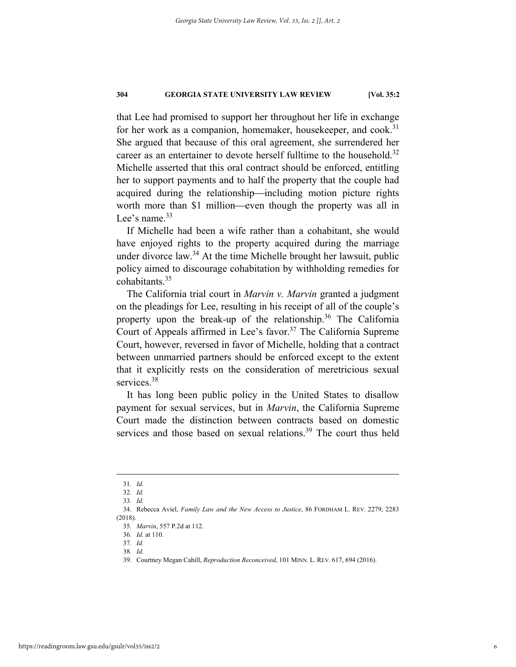that Lee had promised to support her throughout her life in exchange for her work as a companion, homemaker, housekeeper, and cook.<sup>31</sup> She argued that because of this oral agreement, she surrendered her career as an entertainer to devote herself fulltime to the household.<sup>32</sup> Michelle asserted that this oral contract should be enforced, entitling her to support payments and to half the property that the couple had acquired during the relationship—including motion picture rights worth more than \$1 million—even though the property was all in Lee's name.<sup>33</sup>

If Michelle had been a wife rather than a cohabitant, she would have enjoyed rights to the property acquired during the marriage under divorce law.<sup>34</sup> At the time Michelle brought her lawsuit, public policy aimed to discourage cohabitation by withholding remedies for cohabitants.35

The California trial court in *Marvin v. Marvin* granted a judgment on the pleadings for Lee, resulting in his receipt of all of the couple's property upon the break-up of the relationship.<sup>36</sup> The California Court of Appeals affirmed in Lee's favor.<sup>37</sup> The California Supreme Court, however, reversed in favor of Michelle, holding that a contract between unmarried partners should be enforced except to the extent that it explicitly rests on the consideration of meretricious sexual services.<sup>38</sup>

It has long been public policy in the United States to disallow payment for sexual services, but in *Marvin*, the California Supreme Court made the distinction between contracts based on domestic services and those based on sexual relations.<sup>39</sup> The court thus held

 <sup>31</sup>*. Id.*

<sup>32</sup>*. Id.*

<sup>33</sup>*. Id.*

 <sup>34.</sup> Rebecca Aviel, *Family Law and the New Access to Justice*, 86 FORDHAM L. REV. 2279, 2283 (2018).

<sup>35</sup>*. Marvin*, 557 P.2d at 112.

<sup>36</sup>*. Id.* at 110.

<sup>37</sup>*. Id.* 38*. Id.*

 <sup>39.</sup> Courtney Megan Cahill, *Reproduction Reconceived*, 101 MINN. L. REV. 617, 694 (2016).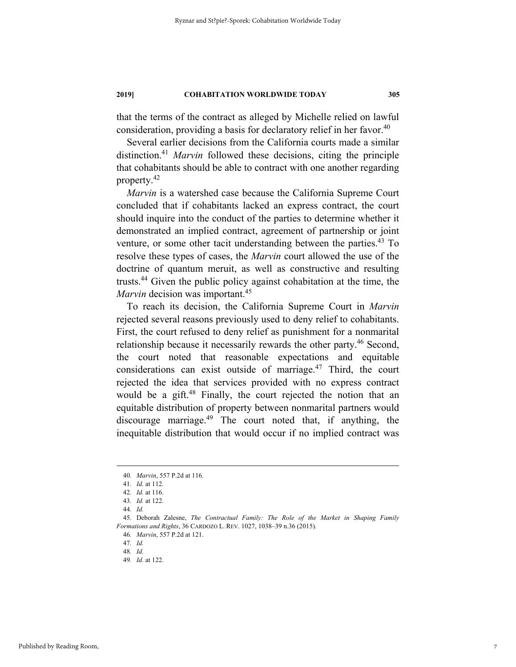that the terms of the contract as alleged by Michelle relied on lawful consideration, providing a basis for declaratory relief in her favor.<sup>40</sup>

Several earlier decisions from the California courts made a similar distinction.41 *Marvin* followed these decisions, citing the principle that cohabitants should be able to contract with one another regarding property.42

*Marvin* is a watershed case because the California Supreme Court concluded that if cohabitants lacked an express contract, the court should inquire into the conduct of the parties to determine whether it demonstrated an implied contract, agreement of partnership or joint venture, or some other tacit understanding between the parties.<sup>43</sup> To resolve these types of cases, the *Marvin* court allowed the use of the doctrine of quantum meruit, as well as constructive and resulting trusts.44 Given the public policy against cohabitation at the time, the *Marvin* decision was important.<sup>45</sup>

To reach its decision, the California Supreme Court in *Marvin* rejected several reasons previously used to deny relief to cohabitants. First, the court refused to deny relief as punishment for a nonmarital relationship because it necessarily rewards the other party.<sup>46</sup> Second, the court noted that reasonable expectations and equitable considerations can exist outside of marriage. $47$  Third, the court rejected the idea that services provided with no express contract would be a gift.<sup>48</sup> Finally, the court rejected the notion that an equitable distribution of property between nonmarital partners would discourage marriage.49 The court noted that, if anything, the inequitable distribution that would occur if no implied contract was

46*. Marvin*, 557 P.2d at 121.

 <sup>40</sup>*. Marvin*, 557 P.2d at 116.

<sup>41</sup>*. Id.* at 112.

<sup>42</sup>*. Id.* at 116.

<sup>43</sup>*. Id.* at 122.

<sup>44</sup>*. Id.*

 <sup>45.</sup> Deborah Zalesne, *The Contractual Family: The Role of the Market in Shaping Family Formations and Rights*, 36 CARDOZO L. REV. 1027, 1038–39 n.36 (2015).

<sup>47</sup>*. Id.*

<sup>48</sup>*. Id.*

<sup>49</sup>*. Id.* at 122.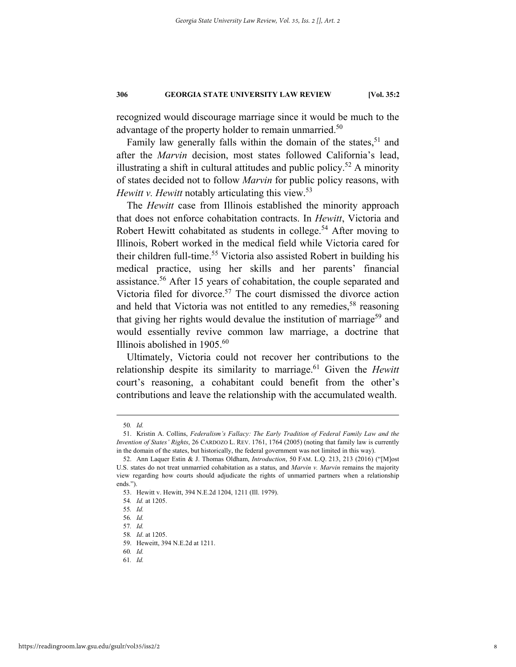recognized would discourage marriage since it would be much to the advantage of the property holder to remain unmarried.<sup>50</sup>

Family law generally falls within the domain of the states, $51$  and after the *Marvin* decision, most states followed California's lead, illustrating a shift in cultural attitudes and public policy.<sup>52</sup> A minority of states decided not to follow *Marvin* for public policy reasons, with *Hewitt v. Hewitt* notably articulating this view.<sup>53</sup>

The *Hewitt* case from Illinois established the minority approach that does not enforce cohabitation contracts. In *Hewitt*, Victoria and Robert Hewitt cohabitated as students in college.<sup>54</sup> After moving to Illinois, Robert worked in the medical field while Victoria cared for their children full-time.<sup>55</sup> Victoria also assisted Robert in building his medical practice, using her skills and her parents' financial assistance.<sup>56</sup> After 15 years of cohabitation, the couple separated and Victoria filed for divorce.<sup>57</sup> The court dismissed the divorce action and held that Victoria was not entitled to any remedies,  $58$  reasoning that giving her rights would devalue the institution of marriage<sup>59</sup> and would essentially revive common law marriage, a doctrine that Illinois abolished in  $1905.^{60}$ 

Ultimately, Victoria could not recover her contributions to the relationship despite its similarity to marriage.<sup>61</sup> Given the *Hewitt* court's reasoning, a cohabitant could benefit from the other's contributions and leave the relationship with the accumulated wealth.

 <sup>50</sup>*. Id.*

 <sup>51.</sup> Kristin A. Collins, *Federalism's Fallacy: The Early Tradition of Federal Family Law and the Invention of States' Rights*, 26 CARDOZO L. REV. 1761, 1764 (2005) (noting that family law is currently in the domain of the states, but historically, the federal government was not limited in this way).

 <sup>52.</sup> Ann Laquer Estin & J. Thomas Oldham, *Introduction*, 50 FAM. L.Q. 213, 213 (2016) ("[M]ost U.S. states do not treat unmarried cohabitation as a status, and *Marvin v. Marvin* remains the majority view regarding how courts should adjudicate the rights of unmarried partners when a relationship ends.").

 <sup>53.</sup> Hewitt v. Hewitt, 394 N.E.2d 1204, 1211 (Ill. 1979).

<sup>54</sup>*. Id.* at 1205.

<sup>55</sup>*. Id.*

<sup>56</sup>*. Id.*

<sup>57</sup>*. Id.*

<sup>58</sup>*. Id*. at 1205.

 <sup>59.</sup> Heweitt, 394 N.E.2d at 1211.

<sup>60</sup>*. Id.*

<sup>61</sup>*. Id.*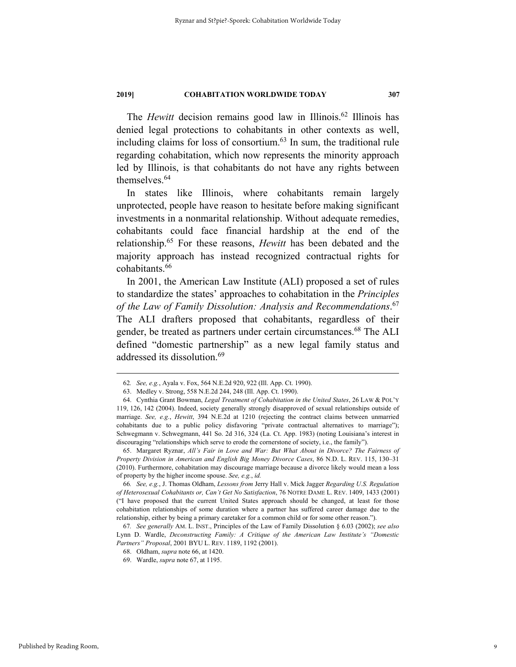The *Hewitt* decision remains good law in Illinois.<sup>62</sup> Illinois has denied legal protections to cohabitants in other contexts as well, including claims for loss of consortium. $63$  In sum, the traditional rule regarding cohabitation, which now represents the minority approach led by Illinois, is that cohabitants do not have any rights between themselves.<sup>64</sup>

In states like Illinois, where cohabitants remain largely unprotected, people have reason to hesitate before making significant investments in a nonmarital relationship. Without adequate remedies, cohabitants could face financial hardship at the end of the relationship.65 For these reasons, *Hewitt* has been debated and the majority approach has instead recognized contractual rights for cohabitants.<sup>66</sup>

In 2001, the American Law Institute (ALI) proposed a set of rules to standardize the states' approaches to cohabitation in the *Principles of the Law of Family Dissolution: Analysis and Recommendations*. 67 The ALI drafters proposed that cohabitants, regardless of their gender, be treated as partners under certain circumstances.<sup>68</sup> The ALI defined "domestic partnership" as a new legal family status and addressed its dissolution.<sup>69</sup>

 <sup>62</sup>*. See, e.g.*, Ayala v. Fox, 564 N.E.2d 920, 922 (Ill. App. Ct. 1990).

 <sup>63.</sup> Medley v. Strong, 558 N.E.2d 244, 248 (Ill. App. Ct. 1990).

 <sup>64.</sup> Cynthia Grant Bowman, *Legal Treatment of Cohabitation in the United States*, 26 LAW & POL'Y 119, 126, 142 (2004). Indeed, society generally strongly disapproved of sexual relationships outside of marriage. *See, e.g.*, *Hewitt*, 394 N.E.2d at 1210 (rejecting the contract claims between unmarried cohabitants due to a public policy disfavoring "private contractual alternatives to marriage"); Schwegmann v. Schwegmann, 441 So. 2d 316, 324 (La. Ct. App. 1983) (noting Louisiana's interest in discouraging "relationships which serve to erode the cornerstone of society, i.e., the family").

 <sup>65.</sup> Margaret Ryznar, *All's Fair in Love and War: But What About in Divorce? The Fairness of Property Division in American and English Big Money Divorce Cases*, 86 N.D. L. REV. 115, 130–31 (2010). Furthermore, cohabitation may discourage marriage because a divorce likely would mean a loss of property by the higher income spouse. *See, e.g.*, *id.*

<sup>66</sup>*. See, e.g.*, J. Thomas Oldham, *Lessons from* Jerry Hall v. Mick Jagger *Regarding U.S. Regulation of Heterosexual Cohabitants or, Can't Get No Satisfaction*, 76 NOTRE DAME L. REV. 1409, 1433 (2001) ("I have proposed that the current United States approach should be changed, at least for those cohabitation relationships of some duration where a partner has suffered career damage due to the relationship, either by being a primary caretaker for a common child or for some other reason.").

<sup>67</sup>*. See generally* AM. L. INST., Principles of the Law of Family Dissolution § 6.03 (2002); *see also*  Lynn D. Wardle, *Deconstructing Family: A Critique of the American Law Institute's "Domestic Partners" Proposal*, 2001 BYU L. REV. 1189, 1192 (2001).

 <sup>68.</sup> Oldham, *supra* note 66, at 1420.

 <sup>69.</sup> Wardle, *supra* note 67, at 1195.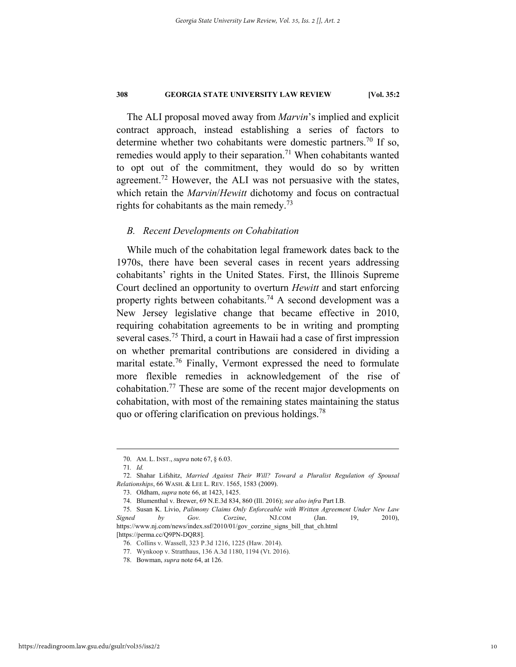The ALI proposal moved away from *Marvin*'s implied and explicit contract approach, instead establishing a series of factors to determine whether two cohabitants were domestic partners.<sup>70</sup> If so, remedies would apply to their separation.<sup>71</sup> When cohabitants wanted to opt out of the commitment, they would do so by written agreement.<sup>72</sup> However, the ALI was not persuasive with the states, which retain the *Marvin*/*Hewitt* dichotomy and focus on contractual rights for cohabitants as the main remedy.<sup>73</sup>

## *B. Recent Developments on Cohabitation*

While much of the cohabitation legal framework dates back to the 1970s, there have been several cases in recent years addressing cohabitants' rights in the United States. First, the Illinois Supreme Court declined an opportunity to overturn *Hewitt* and start enforcing property rights between cohabitants.<sup>74</sup> A second development was a New Jersey legislative change that became effective in 2010, requiring cohabitation agreements to be in writing and prompting several cases.75 Third, a court in Hawaii had a case of first impression on whether premarital contributions are considered in dividing a marital estate.<sup>76</sup> Finally, Vermont expressed the need to formulate more flexible remedies in acknowledgement of the rise of cohabitation.77 These are some of the recent major developments on cohabitation, with most of the remaining states maintaining the status quo or offering clarification on previous holdings.<sup>78</sup>

 <sup>70.</sup> AM. L. INST., *supra* note 67, § 6.03.

<sup>71</sup>*. Id.* 

 <sup>72.</sup> Shahar Lifshitz, *Married Against Their Will? Toward a Pluralist Regulation of Spousal Relationships*, 66 WASH. & LEE L. REV. 1565, 1583 (2009).

 <sup>73.</sup> Oldham, *supra* note 66, at 1423, 1425.

 <sup>74.</sup> Blumenthal v. Brewer, 69 N.E.3d 834, 860 (Ill. 2016); *see also infra* Part I.B.

 <sup>75.</sup> Susan K. Livio, *Palimony Claims Only Enforceable with Written Agreement Under New Law Signed by Gov. Corzine*, NJ.COM (Jan. 19, 2010), https://www.nj.com/news/index.ssf/2010/01/gov\_corzine\_signs\_bill\_that\_ch.html

<sup>[</sup>https://perma.cc/Q9PN-DQR8].

<sup>76.</sup> Collins v. Wassell, 323 P.3d 1216, 1225 (Haw. 2014).

<sup>77.</sup> Wynkoop v. Stratthaus, 136 A.3d 1180, 1194 (Vt. 2016).

 <sup>78.</sup> Bowman, *supra* note 64, at 126.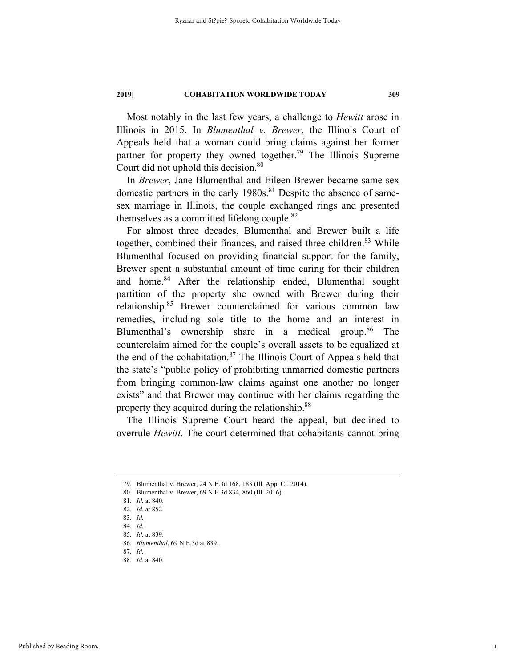Most notably in the last few years, a challenge to *Hewitt* arose in Illinois in 2015. In *Blumenthal v. Brewer*, the Illinois Court of Appeals held that a woman could bring claims against her former partner for property they owned together.<sup>79</sup> The Illinois Supreme Court did not uphold this decision.<sup>80</sup>

In *Brewer*, Jane Blumenthal and Eileen Brewer became same-sex domestic partners in the early 1980s.<sup>81</sup> Despite the absence of samesex marriage in Illinois, the couple exchanged rings and presented themselves as a committed lifelong couple.82

For almost three decades, Blumenthal and Brewer built a life together, combined their finances, and raised three children.<sup>83</sup> While Blumenthal focused on providing financial support for the family, Brewer spent a substantial amount of time caring for their children and home.<sup>84</sup> After the relationship ended, Blumenthal sought partition of the property she owned with Brewer during their relationship.85 Brewer counterclaimed for various common law remedies, including sole title to the home and an interest in Blumenthal's ownership share in a medical group.<sup>86</sup> The counterclaim aimed for the couple's overall assets to be equalized at the end of the cohabitation. $87$  The Illinois Court of Appeals held that the state's "public policy of prohibiting unmarried domestic partners from bringing common-law claims against one another no longer exists" and that Brewer may continue with her claims regarding the property they acquired during the relationship.<sup>88</sup>

The Illinois Supreme Court heard the appeal, but declined to overrule *Hewitt*. The court determined that cohabitants cannot bring

 <sup>79.</sup> Blumenthal v. Brewer, 24 N.E.3d 168, 183 (Ill. App. Ct. 2014).

 <sup>80.</sup> Blumenthal v. Brewer, 69 N.E.3d 834, 860 (Ill. 2016).

<sup>81</sup>*. Id.* at 840.

<sup>82</sup>*. Id.* at 852.

<sup>83</sup>*. Id.*

<sup>84</sup>*. Id.*

<sup>85</sup>*. Id.* at 839.

<sup>86</sup>*. Blumenthal*, 69 N.E.3d at 839.

<sup>87</sup>*. Id.*

<sup>88</sup>*. Id.* at 840*.*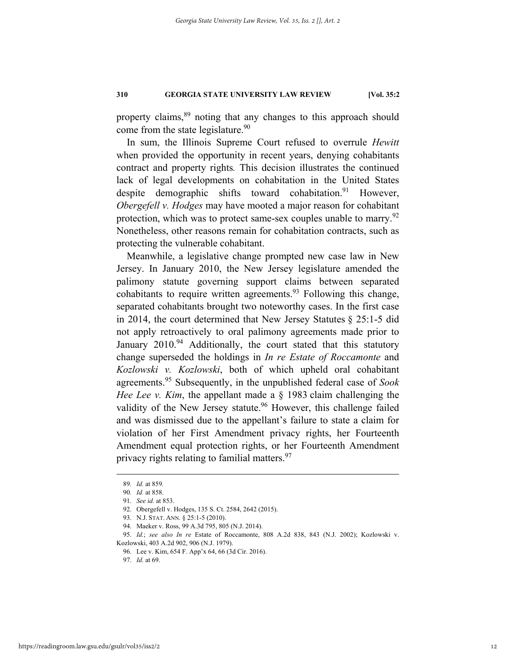property claims,<sup>89</sup> noting that any changes to this approach should come from the state legislature.<sup>90</sup>

In sum, the Illinois Supreme Court refused to overrule *Hewitt*  when provided the opportunity in recent years, denying cohabitants contract and property rights*.* This decision illustrates the continued lack of legal developments on cohabitation in the United States despite demographic shifts toward cohabitation.<sup>91</sup> However, *Obergefell v. Hodges* may have mooted a major reason for cohabitant protection, which was to protect same-sex couples unable to marry.<sup>92</sup> Nonetheless, other reasons remain for cohabitation contracts, such as protecting the vulnerable cohabitant.

Meanwhile, a legislative change prompted new case law in New Jersey. In January 2010, the New Jersey legislature amended the palimony statute governing support claims between separated cohabitants to require written agreements.<sup>93</sup> Following this change, separated cohabitants brought two noteworthy cases. In the first case in 2014, the court determined that New Jersey Statutes § 25:1-5 did not apply retroactively to oral palimony agreements made prior to January  $2010^{94}$  Additionally, the court stated that this statutory change superseded the holdings in *In re Estate of Roccamonte* and *Kozlowski v. Kozlowski*, both of which upheld oral cohabitant agreements.95 Subsequently, in the unpublished federal case of *Sook Hee Lee v. Kim*, the appellant made a § 1983 claim challenging the validity of the New Jersey statute.<sup>96</sup> However, this challenge failed and was dismissed due to the appellant's failure to state a claim for violation of her First Amendment privacy rights, her Fourteenth Amendment equal protection rights, or her Fourteenth Amendment privacy rights relating to familial matters.<sup>97</sup>

 <sup>89</sup>*. Id.* at <sup>859</sup>*.*

<sup>90</sup>*. Id.* at 858.

 <sup>91.</sup> *See id.* at 853.

 <sup>92.</sup> Obergefell v. Hodges, 135 S. Ct. 2584, 2642 (2015).

 <sup>93.</sup> N.J. STAT. ANN. § 25:1-5 (2010).

 <sup>94.</sup> Maeker v. Ross, 99 A.3d 795, 805 (N.J. 2014).

 <sup>95.</sup> *Id.*; *see also In re* Estate of Roccamonte, 808 A.2d 838, 843 (N.J. 2002); Kozlowski v. Kozlowski, 403 A.2d 902, 906 (N.J. 1979).

 <sup>96.</sup> Lee v. Kim, 654 F. App'x 64, 66 (3d Cir. 2016).

 <sup>97.</sup> *Id.* at 69.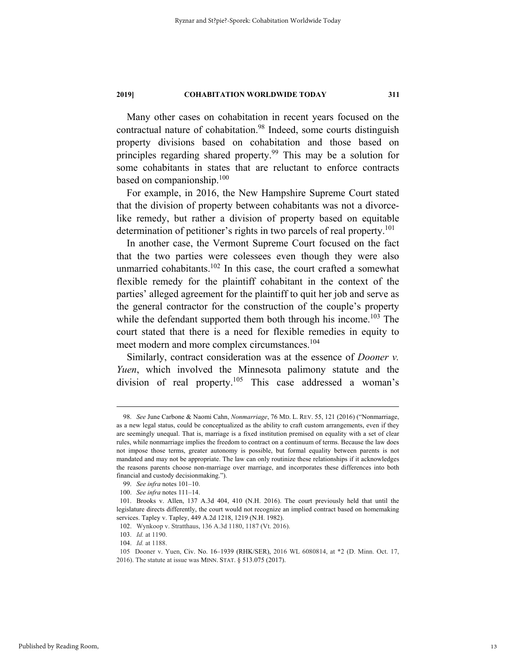Many other cases on cohabitation in recent years focused on the contractual nature of cohabitation.<sup>98</sup> Indeed, some courts distinguish property divisions based on cohabitation and those based on principles regarding shared property.99 This may be a solution for some cohabitants in states that are reluctant to enforce contracts based on companionship.<sup>100</sup>

For example, in 2016, the New Hampshire Supreme Court stated that the division of property between cohabitants was not a divorcelike remedy, but rather a division of property based on equitable determination of petitioner's rights in two parcels of real property.<sup>101</sup>

In another case, the Vermont Supreme Court focused on the fact that the two parties were colessees even though they were also unmarried cohabitants.<sup>102</sup> In this case, the court crafted a somewhat flexible remedy for the plaintiff cohabitant in the context of the parties' alleged agreement for the plaintiff to quit her job and serve as the general contractor for the construction of the couple's property while the defendant supported them both through his income.<sup>103</sup> The court stated that there is a need for flexible remedies in equity to meet modern and more complex circumstances.<sup>104</sup>

Similarly, contract consideration was at the essence of *Dooner v. Yuen*, which involved the Minnesota palimony statute and the division of real property.<sup>105</sup> This case addressed a woman's

 <sup>98.</sup> *See* June Carbone & Naomi Cahn, *Nonmarriage*, 76 MD. L. REV. 55, 121 (2016) ("Nonmarriage, as a new legal status, could be conceptualized as the ability to craft custom arrangements, even if they are seemingly unequal. That is, marriage is a fixed institution premised on equality with a set of clear rules, while nonmarriage implies the freedom to contract on a continuum of terms. Because the law does not impose those terms, greater autonomy is possible, but formal equality between parents is not mandated and may not be appropriate. The law can only routinize these relationships if it acknowledges the reasons parents choose non-marriage over marriage, and incorporates these differences into both financial and custody decisionmaking.").

 <sup>99.</sup> *See infra* notes 101–10.

 <sup>100.</sup> *See infra* notes 111–14.

 <sup>101.</sup> Brooks v. Allen, 137 A.3d 404, 410 (N.H. 2016). The court previously held that until the legislature directs differently, the court would not recognize an implied contract based on homemaking services. Tapley v. Tapley, 449 A.2d 1218, 1219 (N.H. 1982).

 <sup>102.</sup> Wynkoop v. Stratthaus, 136 A.3d 1180, 1187 (Vt. 2016).

<sup>103.</sup> *Id.* at 1190.

 <sup>104.</sup> *Id.* at 1188.

 <sup>105</sup> Dooner v. Yuen, Civ. No. 16–1939 (RHK/SER), 2016 WL 6080814, at \*2 (D. Minn. Oct. 17, 2016). The statute at issue was MINN. STAT. § 513.075 (2017).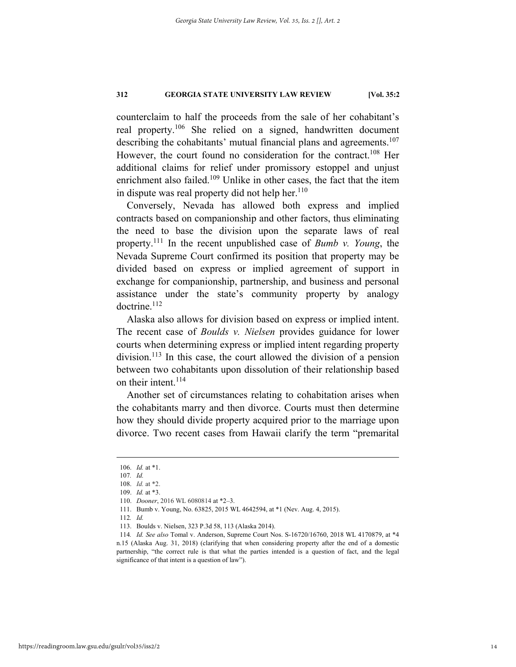counterclaim to half the proceeds from the sale of her cohabitant's real property.<sup>106</sup> She relied on a signed, handwritten document describing the cohabitants' mutual financial plans and agreements.<sup>107</sup> However, the court found no consideration for the contract.<sup>108</sup> Her additional claims for relief under promissory estoppel and unjust enrichment also failed.<sup>109</sup> Unlike in other cases, the fact that the item in dispute was real property did not help her. $110$ 

Conversely, Nevada has allowed both express and implied contracts based on companionship and other factors, thus eliminating the need to base the division upon the separate laws of real property.111 In the recent unpublished case of *Bumb v. Young*, the Nevada Supreme Court confirmed its position that property may be divided based on express or implied agreement of support in exchange for companionship, partnership, and business and personal assistance under the state's community property by analogy doctrine.<sup>112</sup>

Alaska also allows for division based on express or implied intent. The recent case of *Boulds v. Nielsen* provides guidance for lower courts when determining express or implied intent regarding property division.<sup>113</sup> In this case, the court allowed the division of a pension between two cohabitants upon dissolution of their relationship based on their intent.<sup>114</sup>

Another set of circumstances relating to cohabitation arises when the cohabitants marry and then divorce. Courts must then determine how they should divide property acquired prior to the marriage upon divorce. Two recent cases from Hawaii clarify the term "premarital

 <sup>106.</sup> *Id.* at \*1.

<sup>107</sup>*. Id.* 

 <sup>108.</sup> *Id.* at \*2.

<sup>109.</sup> *Id.* at \*3.

<sup>110.</sup> *Dooner*, 2016 WL 6080814 at \*2–3.

 <sup>111.</sup> Bumb v. Young, No. 63825, 2015 WL 4642594, at \*1 (Nev. Aug. 4, 2015).

<sup>112</sup>*. Id.*

 <sup>113.</sup> Boulds v. Nielsen, 323 P.3d 58, 113 (Alaska 2014).

<sup>114</sup>*. Id. See also* Tomal v. Anderson, Supreme Court Nos. S-16720/16760, 2018 WL 4170879, at \*4 n.15 (Alaska Aug. 31, 2018) (clarifying that when considering property after the end of a domestic partnership, "the correct rule is that what the parties intended is a question of fact, and the legal significance of that intent is a question of law").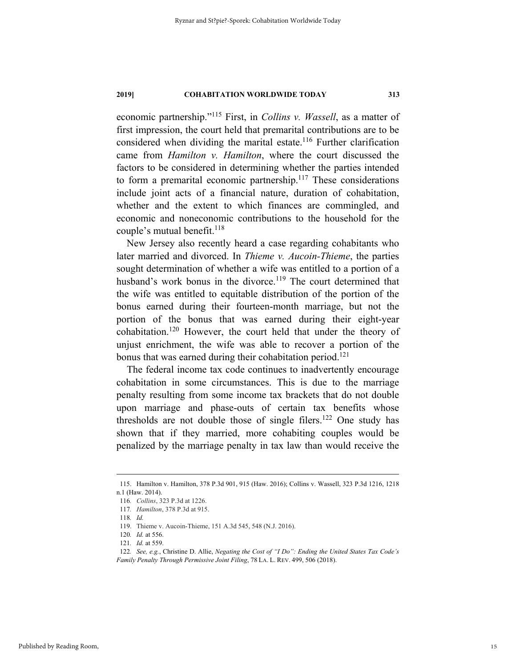economic partnership."115 First, in *Collins v. Wassell*, as a matter of first impression, the court held that premarital contributions are to be considered when dividing the marital estate.<sup>116</sup> Further clarification came from *Hamilton v. Hamilton*, where the court discussed the factors to be considered in determining whether the parties intended to form a premarital economic partnership.<sup>117</sup> These considerations include joint acts of a financial nature, duration of cohabitation, whether and the extent to which finances are commingled, and economic and noneconomic contributions to the household for the couple's mutual benefit.<sup>118</sup>

New Jersey also recently heard a case regarding cohabitants who later married and divorced. In *Thieme v. Aucoin-Thieme*, the parties sought determination of whether a wife was entitled to a portion of a husband's work bonus in the divorce.<sup>119</sup> The court determined that the wife was entitled to equitable distribution of the portion of the bonus earned during their fourteen-month marriage, but not the portion of the bonus that was earned during their eight-year cohabitation.120 However, the court held that under the theory of unjust enrichment, the wife was able to recover a portion of the bonus that was earned during their cohabitation period.<sup>121</sup>

The federal income tax code continues to inadvertently encourage cohabitation in some circumstances. This is due to the marriage penalty resulting from some income tax brackets that do not double upon marriage and phase-outs of certain tax benefits whose thresholds are not double those of single filers.<sup>122</sup> One study has shown that if they married, more cohabiting couples would be penalized by the marriage penalty in tax law than would receive the

 <sup>115.</sup> Hamilton v. Hamilton, 378 P.3d 901, 915 (Haw. 2016); Collins v. Wassell, 323 P.3d 1216, 1218 n.1 (Haw. 2014).

<sup>116</sup>*. Collins*, 323 P.3d at 1226.

<sup>117</sup>*. Hamilton*, 378 P.3d at 915.

<sup>118</sup>*. Id.*

<sup>119.</sup> Thieme v. Aucoin-Thieme, 151 A.3d 545, 548 (N.J. 2016).

<sup>120</sup>*. Id.* at 556.

<sup>121</sup>*. Id.* at 559.

<sup>122</sup>*. See, e.g.*, Christine D. Allie, *Negating the Cost of "I Do": Ending the United States Tax Code's Family Penalty Through Permissive Joint Filing*, 78 LA. L. REV. 499, 506 (2018).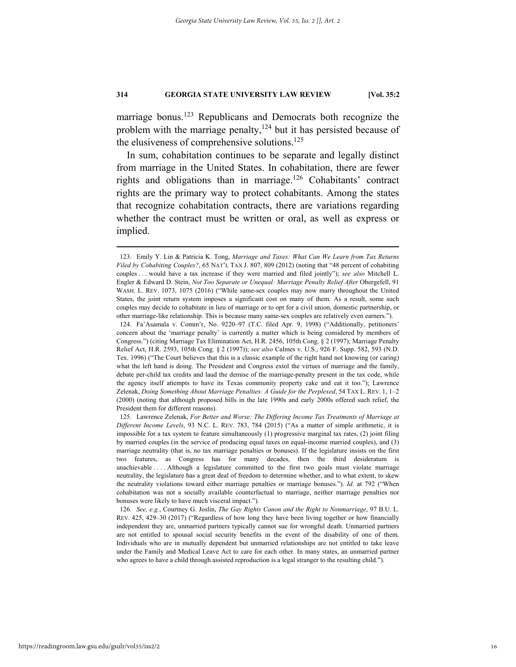marriage bonus.<sup>123</sup> Republicans and Democrats both recognize the problem with the marriage penalty,  $124$  but it has persisted because of the elusiveness of comprehensive solutions.<sup>125</sup>

In sum, cohabitation continues to be separate and legally distinct from marriage in the United States. In cohabitation, there are fewer rights and obligations than in marriage.126 Cohabitants' contract rights are the primary way to protect cohabitants. Among the states that recognize cohabitation contracts, there are variations regarding whether the contract must be written or oral, as well as express or implied.

 <sup>123.</sup> Emily Y. Lin & Patricia K. Tong, *Marriage and Taxes: What Can We Learn from Tax Returns Filed by Cohabiting Couples?*, 65 NAT'L TAX J. 807, 809 (2012) (noting that "48 percent of cohabiting couples . . . would have a tax increase if they were married and filed jointly"); *see also* Mitchell L. Engler & Edward D. Stein, *Not Too Separate or Unequal: Marriage Penalty Relief After Obergefell*, 91 WASH. L. REV. 1073, 1075 (2016) ("While same-sex couples may now marry throughout the United States, the joint return system imposes a significant cost on many of them. As a result, some such couples may decide to cohabitate in lieu of marriage or to opt for a civil union, domestic partnership, or other marriage-like relationship. This is because many same-sex couples are relatively even earners.").

 <sup>124.</sup> Fa'Asamala v. Comm'r, No. 9220–97 (T.C. filed Apr. 9, 1998) ("Additionally, petitioners' concern about the 'marriage penalty' is currently a matter which is being considered by members of Congress.") (citing Marriage Tax Elimination Act, H.R. 2456, 105th Cong. § 2 (1997); Marriage Penalty Relief Act, H.R. 2593, 105th Cong. § 2 (1997)); *see also* Calmes v. U.S., 926 F. Supp. 582, 593 (N.D. Tex. 1996) ("The Court believes that this is a classic example of the right hand not knowing (or caring) what the left hand is doing. The President and Congress extol the virtues of marriage and the family, debate per-child tax credits and laud the demise of the marriage-penalty present in the tax code, while the agency itself attempts to have its Texas community property cake and eat it too."); Lawrence Zelenak, *Doing Something About Marriage Penalties: A Guide for the Perplexed*, 54 TAX L. REV. 1, 1–2 (2000) (noting that although proposed bills in the late 1990s and early 2000s offered such relief, the President them for different reasons).

 <sup>125.</sup> Lawrence Zelenak, *For Better and Worse: The Differing Income Tax Treatments of Marriage at Different Income Levels*, 93 N.C. L. REV. 783, 784 (2015) ("As a matter of simple arithmetic, it is impossible for a tax system to feature simultaneously (1) progressive marginal tax rates, (2) joint filing by married couples (in the service of producing equal taxes on equal-income married couples), and (3) marriage neutrality (that is, no tax marriage penalties or bonuses). If the legislature insists on the first two features, as Congress has for many decades, then the third desideratum is unachievable . . . . Although a legislature committed to the first two goals must violate marriage neutrality, the legislature has a great deal of freedom to determine whether, and to what extent, to skew the neutrality violations toward either marriage penalties or marriage bonuses."). *Id.* at 792 ("When cohabitation was not a socially available counterfactual to marriage, neither marriage penalties nor bonuses were likely to have much visceral impact.").

<sup>126</sup>*. See, e.g.*, Courtney G. Joslin, *The Gay Rights Canon and the Right to Nonmarriage*, 97 B.U. L. REV. 425, 429–30 (2017) ("Regardless of how long they have been living together or how financially independent they are, unmarried partners typically cannot sue for wrongful death. Unmarried partners are not entitled to spousal social security benefits in the event of the disability of one of them. Individuals who are in mutually dependent but unmarried relationships are not entitled to take leave under the Family and Medical Leave Act to care for each other. In many states, an unmarried partner who agrees to have a child through assisted reproduction is a legal stranger to the resulting child.").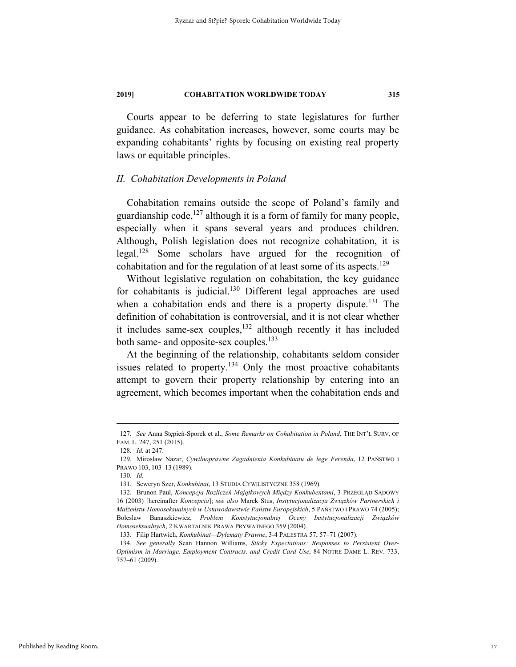Courts appear to be deferring to state legislatures for further guidance. As cohabitation increases, however, some courts may be expanding cohabitants' rights by focusing on existing real property laws or equitable principles.

#### *II. Cohabitation Developments in Poland*

Cohabitation remains outside the scope of Poland's family and guardianship code,  $127$  although it is a form of family for many people, especially when it spans several years and produces children. Although, Polish legislation does not recognize cohabitation, it is legal.128 Some scholars have argued for the recognition of cohabitation and for the regulation of at least some of its aspects.<sup>129</sup>

Without legislative regulation on cohabitation, the key guidance for cohabitants is judicial.<sup>130</sup> Different legal approaches are used when a cohabitation ends and there is a property dispute.<sup>131</sup> The definition of cohabitation is controversial, and it is not clear whether it includes same-sex couples, $132$  although recently it has included both same- and opposite-sex couples.<sup>133</sup>

At the beginning of the relationship, cohabitants seldom consider issues related to property.<sup>134</sup> Only the most proactive cohabitants attempt to govern their property relationship by entering into an agreement, which becomes important when the cohabitation ends and

 <sup>127</sup>*. See* Anna Stępień-Sporek et al., *Some Remarks on Cohabitation in Poland*, THE INT'L SURV. OF FAM. L. 247, 251 (2015).

<sup>128</sup>*. Id.* at 247.

 <sup>129.</sup> Mirosław Nazar, *Cywilnoprawne Zagadnienia Konkubinatu de lege Ferenda*, 12 PAŃSTWO I PRAWO 103, 103–13 (1989).

<sup>130</sup>*. Id.*

 <sup>131.</sup> Seweryn Szer, *Konkubinat*, 13 STUDIA CYWILISTYCZNE 358 (1969).

 <sup>132.</sup> Brunon Paul, *Koncepcja Rozliczeń Majątkowych Między Konkubentami*, 3 PRZEGLĄD SĄDOWY 16 (2003) [hereinafter *Koncepcja*]; *see also* Marek Stus, *Instytucjonalizacja Związków Partnerskich i Małżeństw Homoseksualnych w Ustawodawstwie Państw Europejskich*, 5 PAŃSTWO I PRAWO 74 (2005); Boleslaw Banaszkiewicz, *Problem Konstytucjonalnej Oceny Instytucjonalizacji Związków Homoseksualnych*, 2 KWARTALNIK PRAWA PRYWATNEGO 359 (2004).

 <sup>133.</sup> Filip Hartwich, *Konkubinat—Dylematy Prawne*, 3-4 PALESTRA 57, 57–71 (2007).

<sup>134</sup>*. See generally* Sean Hannon Williams, *Sticky Expectations: Responses to Persistent Over-Optimism in Marriage, Employment Contracts, and Credit Card Use*, 84 NOTRE DAME L. REV. 733, 757–61 (2009).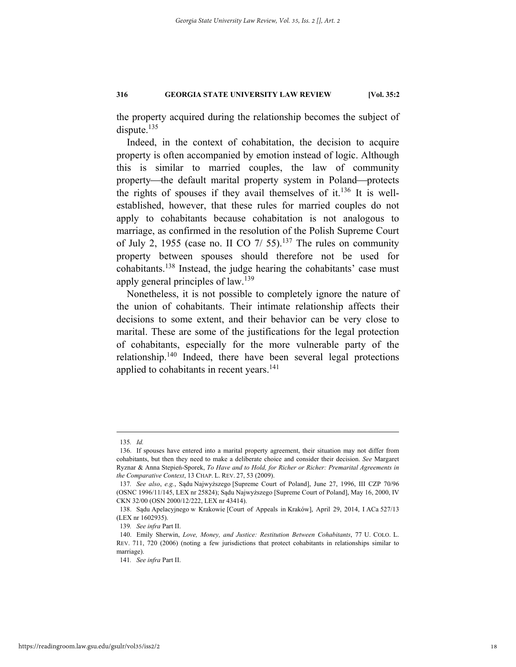the property acquired during the relationship becomes the subject of dispute. $135$ 

Indeed, in the context of cohabitation, the decision to acquire property is often accompanied by emotion instead of logic. Although this is similar to married couples, the law of community property—the default marital property system in Poland—protects the rights of spouses if they avail themselves of it.<sup>136</sup> It is wellestablished, however, that these rules for married couples do not apply to cohabitants because cohabitation is not analogous to marriage, as confirmed in the resolution of the Polish Supreme Court of July 2, 1955 (case no. II CO  $7/55$ ).<sup>137</sup> The rules on community property between spouses should therefore not be used for cohabitants.138 Instead, the judge hearing the cohabitants' case must apply general principles of law.<sup>139</sup>

Nonetheless, it is not possible to completely ignore the nature of the union of cohabitants. Their intimate relationship affects their decisions to some extent, and their behavior can be very close to marital. These are some of the justifications for the legal protection of cohabitants, especially for the more vulnerable party of the relationship.140 Indeed, there have been several legal protections applied to cohabitants in recent years.<sup>141</sup>

 <sup>135</sup>*. Id.* 

 <sup>136.</sup> If spouses have entered into a marital property agreement, their situation may not differ from cohabitants, but then they need to make a deliberate choice and consider their decision. *See* Margaret Ryznar & Anna Stepień-Sporek, *To Have and to Hold, for Richer or Richer: Premarital Agreements in the Comparative Context*, 13 CHAP. L. REV. 27, 53 (2009).

<sup>137</sup>*. See also*, *e.g.*, Sądu Najwyższego [Supreme Court of Poland], June 27, 1996, III CZP 70/96 (OSNC 1996/11/145, LEX nr 25824); Sądu Najwyższego [Supreme Court of Poland], May 16, 2000, IV CKN 32/00 (OSN 2000/12/222, LEX nr 43414).

 <sup>138.</sup> Sądu Apelacyjnego w Krakowie [Court of Appeals in Kraków], April 29, 2014, I ACa 527/13 (LEX nr 1602935).

<sup>139</sup>*. See infra* Part II.

 <sup>140.</sup> Emily Sherwin, *Love, Money, and Justice: Restitution Between Cohabitants*, 77 U. COLO. L. REV. 711, 720 (2006) (noting a few jurisdictions that protect cohabitants in relationships similar to marriage).

<sup>141</sup>*. See infra* Part II.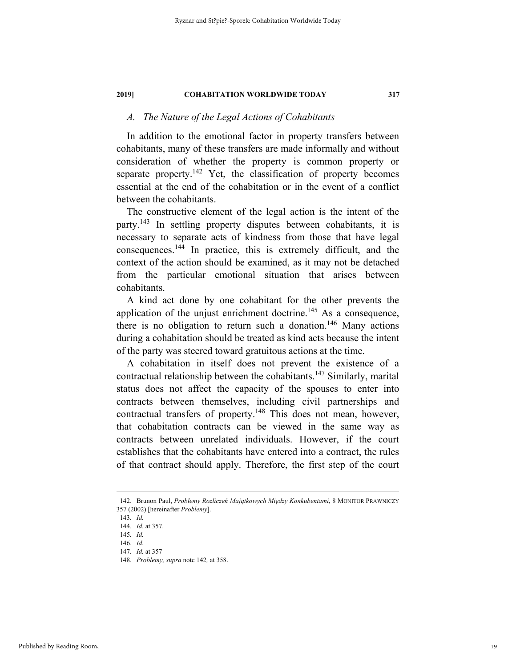## *A. The Nature of the Legal Actions of Cohabitants*

In addition to the emotional factor in property transfers between cohabitants, many of these transfers are made informally and without consideration of whether the property is common property or separate property.<sup>142</sup> Yet, the classification of property becomes essential at the end of the cohabitation or in the event of a conflict between the cohabitants.

The constructive element of the legal action is the intent of the party.143 In settling property disputes between cohabitants, it is necessary to separate acts of kindness from those that have legal consequences.144 In practice, this is extremely difficult, and the context of the action should be examined, as it may not be detached from the particular emotional situation that arises between cohabitants.

A kind act done by one cohabitant for the other prevents the application of the unjust enrichment doctrine.<sup>145</sup> As a consequence, there is no obligation to return such a donation.<sup>146</sup> Many actions during a cohabitation should be treated as kind acts because the intent of the party was steered toward gratuitous actions at the time.

A cohabitation in itself does not prevent the existence of a contractual relationship between the cohabitants.147 Similarly, marital status does not affect the capacity of the spouses to enter into contracts between themselves, including civil partnerships and contractual transfers of property.<sup>148</sup> This does not mean, however, that cohabitation contracts can be viewed in the same way as contracts between unrelated individuals. However, if the court establishes that the cohabitants have entered into a contract, the rules of that contract should apply. Therefore, the first step of the court

 <sup>142.</sup> Brunon Paul, *Problemy Rozliczeń Majątkowych Między Konkubentami*, 8 MONITOR PRAWNICZY 357 (2002) [hereinafter *Problemy*].

<sup>143</sup>*. Id.* 

<sup>144</sup>*. Id.* at 357.

<sup>145</sup>*. Id.* 

<sup>146</sup>*. Id.* 

<sup>147</sup>*. Id.* at 357

<sup>148</sup>*. Problemy, supra* note 142*,* at 358.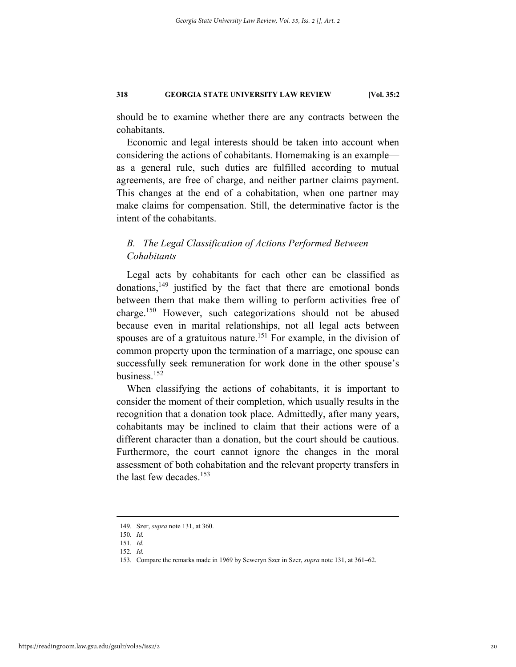should be to examine whether there are any contracts between the cohabitants.

Economic and legal interests should be taken into account when considering the actions of cohabitants. Homemaking is an example as a general rule, such duties are fulfilled according to mutual agreements, are free of charge, and neither partner claims payment. This changes at the end of a cohabitation, when one partner may make claims for compensation. Still, the determinative factor is the intent of the cohabitants.

## *B. The Legal Classification of Actions Performed Between Cohabitants*

Legal acts by cohabitants for each other can be classified as donations,  $149$  justified by the fact that there are emotional bonds between them that make them willing to perform activities free of charge.150 However, such categorizations should not be abused because even in marital relationships, not all legal acts between spouses are of a gratuitous nature.<sup>151</sup> For example, in the division of common property upon the termination of a marriage, one spouse can successfully seek remuneration for work done in the other spouse's business.152

When classifying the actions of cohabitants, it is important to consider the moment of their completion, which usually results in the recognition that a donation took place. Admittedly, after many years, cohabitants may be inclined to claim that their actions were of a different character than a donation, but the court should be cautious. Furthermore, the court cannot ignore the changes in the moral assessment of both cohabitation and the relevant property transfers in the last few decades. $153$ 

 <sup>149.</sup> Szer, *supra* note 131, at 360.

<sup>150</sup>*. Id.* 

<sup>151</sup>*. Id.* 

<sup>152</sup>*. Id.* 

 <sup>153.</sup> Compare the remarks made in 1969 by Seweryn Szer in Szer, *supra* note 131, at 361–62.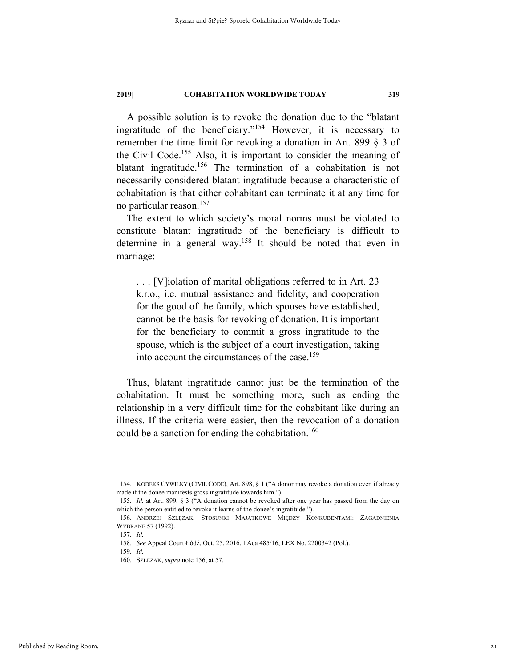A possible solution is to revoke the donation due to the "blatant ingratitude of the beneficiary."154 However, it is necessary to remember the time limit for revoking a donation in Art. 899 § 3 of the Civil Code.155 Also, it is important to consider the meaning of blatant ingratitude.<sup>156</sup> The termination of a cohabitation is not necessarily considered blatant ingratitude because a characteristic of cohabitation is that either cohabitant can terminate it at any time for no particular reason.157

The extent to which society's moral norms must be violated to constitute blatant ingratitude of the beneficiary is difficult to determine in a general way.158 It should be noted that even in marriage:

. . . [V]iolation of marital obligations referred to in Art. 23 k.r.o., i.e. mutual assistance and fidelity, and cooperation for the good of the family, which spouses have established, cannot be the basis for revoking of donation. It is important for the beneficiary to commit a gross ingratitude to the spouse, which is the subject of a court investigation, taking into account the circumstances of the case.<sup>159</sup>

Thus, blatant ingratitude cannot just be the termination of the cohabitation. It must be something more, such as ending the relationship in a very difficult time for the cohabitant like during an illness. If the criteria were easier, then the revocation of a donation could be a sanction for ending the cohabitation.<sup>160</sup>

 <sup>154.</sup> KODEKS CYWILNY (CIVIL CODE), Art. 898, § 1 ("A donor may revoke a donation even if already made if the donee manifests gross ingratitude towards him.").

<sup>155</sup>*. Id.* at Art. 899, § 3 ("A donation cannot be revoked after one year has passed from the day on which the person entitled to revoke it learns of the donee's ingratitude.").

 <sup>156.</sup> ANDRZEJ SZLĘZAK, STOSUNKI MAJĄTKOWE MIĘDZY KONKUBENTAMI: ZAGADNIENIA WYBRANE 57 (1992).

<sup>157</sup>*. Id.* 

<sup>158</sup>*. See* Appeal Court Łódź, Oct. 25, 2016, I Aca 485/16, LEX No. 2200342 (Pol.).

<sup>159</sup>*. Id.*

 <sup>160.</sup> SZLĘZAK, *supra* note 156, at 57.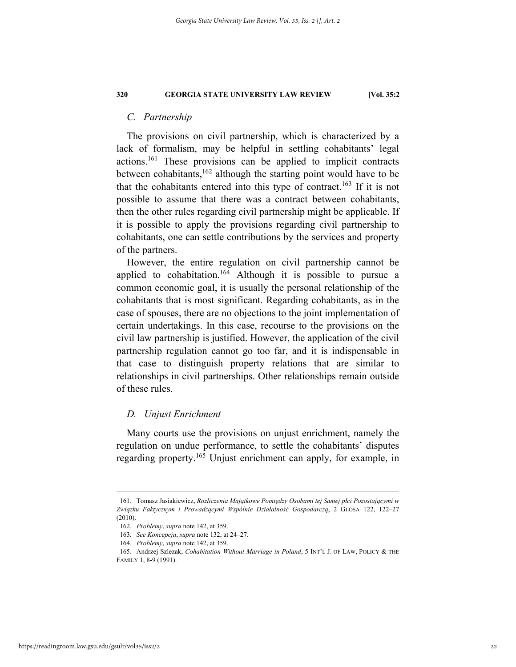#### *C. Partnership*

The provisions on civil partnership, which is characterized by a lack of formalism, may be helpful in settling cohabitants' legal actions.161 These provisions can be applied to implicit contracts between cohabitants,<sup>162</sup> although the starting point would have to be that the cohabitants entered into this type of contract.<sup>163</sup> If it is not possible to assume that there was a contract between cohabitants, then the other rules regarding civil partnership might be applicable. If it is possible to apply the provisions regarding civil partnership to cohabitants, one can settle contributions by the services and property of the partners.

However, the entire regulation on civil partnership cannot be applied to cohabitation.<sup>164</sup> Although it is possible to pursue a common economic goal, it is usually the personal relationship of the cohabitants that is most significant. Regarding cohabitants, as in the case of spouses, there are no objections to the joint implementation of certain undertakings. In this case, recourse to the provisions on the civil law partnership is justified. However, the application of the civil partnership regulation cannot go too far, and it is indispensable in that case to distinguish property relations that are similar to relationships in civil partnerships. Other relationships remain outside of these rules.

#### *D. Unjust Enrichment*

Many courts use the provisions on unjust enrichment, namely the regulation on undue performance, to settle the cohabitants' disputes regarding property.<sup>165</sup> Unjust enrichment can apply, for example, in

 <sup>161.</sup> Tomasz Jasiakiewicz, *Rozliczenia Majątkowe Pomiędzy Osobami tej Samej płci Pozostającymi w Związku Faktycznym i Prowadzącymi Wspólnie Działalność Gospodarczą*, 2 GLOSA 122, 122–27 (2010).

<sup>162</sup>*. Problemy*, *supra* note 142, at 359.

<sup>163</sup>*. See Koncepcja*, *supra* note 132, at 24–27.

<sup>164</sup>*. Problemy*, *supra* note 142, at 359.

 <sup>165.</sup> Andrzej Szlezak, *Cohabitation Without Marriage in Poland*, 5 INT'L J. OF LAW, POLICY & THE FAMILY 1, 8-9 (1991).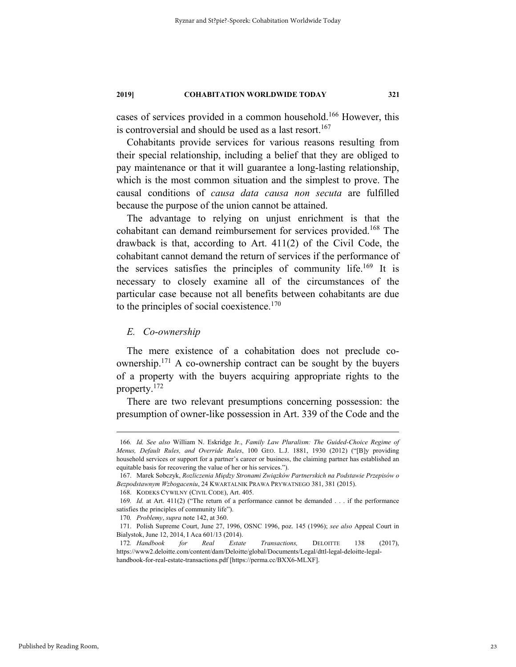cases of services provided in a common household.166 However, this is controversial and should be used as a last resort.<sup>167</sup>

Cohabitants provide services for various reasons resulting from their special relationship, including a belief that they are obliged to pay maintenance or that it will guarantee a long-lasting relationship, which is the most common situation and the simplest to prove. The causal conditions of *causa data causa non secuta* are fulfilled because the purpose of the union cannot be attained.

The advantage to relying on unjust enrichment is that the cohabitant can demand reimbursement for services provided.<sup>168</sup> The drawback is that, according to Art. 411(2) of the Civil Code, the cohabitant cannot demand the return of services if the performance of the services satisfies the principles of community life.169 It is necessary to closely examine all of the circumstances of the particular case because not all benefits between cohabitants are due to the principles of social coexistence. $170$ 

#### *E. Co-ownership*

The mere existence of a cohabitation does not preclude coownership.<sup>171</sup> A co-ownership contract can be sought by the buyers of a property with the buyers acquiring appropriate rights to the property.172

There are two relevant presumptions concerning possession: the presumption of owner-like possession in Art. 339 of the Code and the

 <sup>166</sup>*. Id. See also* William N. Eskridge Jr., *Family Law Pluralism: The Guided-Choice Regime of Menus, Default Rules, and Override Rules*, 100 GEO. L.J. 1881, 1930 (2012) ("[B]y providing household services or support for a partner's career or business, the claiming partner has established an equitable basis for recovering the value of her or his services.").

 <sup>167.</sup> Marek Sobczyk, *Rozliczenia Między Stronami Związków Partnerskich na Podstawie Przepisów o Bezpodstawnym Wzbogaceniu*, 24 KWARTALNIK PRAWA PRYWATNEGO 381, 381 (2015).

 <sup>168.</sup> KODEKS CYWILNY (CIVIL CODE), Art. 405.

<sup>169</sup>*. Id.* at Art. 411(2) ("The return of a performance cannot be demanded . . . if the performance satisfies the principles of community life").

<sup>170</sup>*. Problemy*, *supra* note 142, at 360.

 <sup>171.</sup> Polish Supreme Court, June 27, 1996, OSNC 1996, poz. 145 (1996); *see also* Appeal Court in Bialystok, June 12, 2014, I Aca 601/13 (2014).

<sup>172</sup>*. Handbook for Real Estate Transactions,* DELOITTE 138 (2017), https://www2.deloitte.com/content/dam/Deloitte/global/Documents/Legal/dttl-legal-deloitte-legalhandbook-for-real-estate-transactions.pdf [https://perma.cc/BXX6-MLXF].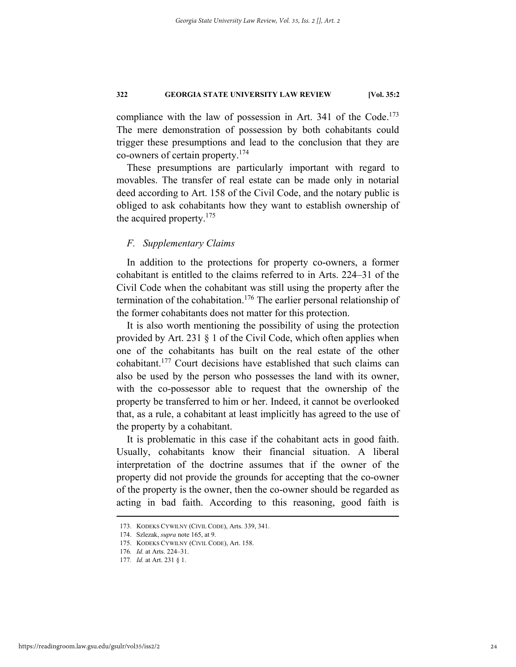compliance with the law of possession in Art. 341 of the Code.<sup>173</sup> The mere demonstration of possession by both cohabitants could trigger these presumptions and lead to the conclusion that they are co-owners of certain property.174

These presumptions are particularly important with regard to movables. The transfer of real estate can be made only in notarial deed according to Art. 158 of the Civil Code, and the notary public is obliged to ask cohabitants how they want to establish ownership of the acquired property.<sup>175</sup>

## *F. Supplementary Claims*

In addition to the protections for property co-owners, a former cohabitant is entitled to the claims referred to in Arts. 224–31 of the Civil Code when the cohabitant was still using the property after the termination of the cohabitation.<sup>176</sup> The earlier personal relationship of the former cohabitants does not matter for this protection.

It is also worth mentioning the possibility of using the protection provided by Art. 231 § 1 of the Civil Code, which often applies when one of the cohabitants has built on the real estate of the other cohabitant.177 Court decisions have established that such claims can also be used by the person who possesses the land with its owner, with the co-possessor able to request that the ownership of the property be transferred to him or her. Indeed, it cannot be overlooked that, as a rule, a cohabitant at least implicitly has agreed to the use of the property by a cohabitant.

It is problematic in this case if the cohabitant acts in good faith. Usually, cohabitants know their financial situation. A liberal interpretation of the doctrine assumes that if the owner of the property did not provide the grounds for accepting that the co-owner of the property is the owner, then the co-owner should be regarded as acting in bad faith. According to this reasoning, good faith is

 <sup>173.</sup> KODEKS CYWILNY (CIVIL CODE), Arts. 339, 341.

 <sup>174.</sup> Szlezak, *supra* note 165, at 9.

 <sup>175.</sup> KODEKS CYWILNY (CIVIL CODE), Art. 158.

<sup>176</sup>*. Id.* at Arts. 224–31.

<sup>177</sup>*. Id.* at Art. 231 § 1.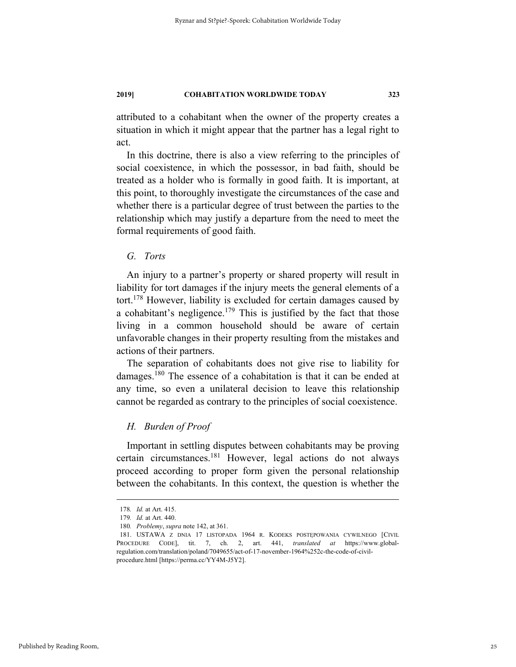attributed to a cohabitant when the owner of the property creates a situation in which it might appear that the partner has a legal right to act.

In this doctrine, there is also a view referring to the principles of social coexistence, in which the possessor, in bad faith, should be treated as a holder who is formally in good faith. It is important, at this point, to thoroughly investigate the circumstances of the case and whether there is a particular degree of trust between the parties to the relationship which may justify a departure from the need to meet the formal requirements of good faith.

## *G. Torts*

An injury to a partner's property or shared property will result in liability for tort damages if the injury meets the general elements of a tort.178 However, liability is excluded for certain damages caused by a cohabitant's negligence.<sup>179</sup> This is justified by the fact that those living in a common household should be aware of certain unfavorable changes in their property resulting from the mistakes and actions of their partners.

The separation of cohabitants does not give rise to liability for damages.<sup>180</sup> The essence of a cohabitation is that it can be ended at any time, so even a unilateral decision to leave this relationship cannot be regarded as contrary to the principles of social coexistence.

## *H. Burden of Proof*

Important in settling disputes between cohabitants may be proving certain circumstances.181 However, legal actions do not always proceed according to proper form given the personal relationship between the cohabitants. In this context, the question is whether the

 <sup>178</sup>*. Id.* at Art. 415.

<sup>179</sup>*. Id.* at Art. 440.

<sup>180</sup>*. Problemy*, *supra* note 142, at 361.

 <sup>181.</sup> USTAWA Z DNIA 17 LISTOPADA 1964 R. KODEKS POSTĘPOWANIA CYWILNEGO [CIVIL PROCEDURE CODE], tit. 7, ch. 2, art. 441, *translated at* https://www.globalregulation.com/translation/poland/7049655/act-of-17-november-1964%252c-the-code-of-civilprocedure.html [https://perma.cc/YY4M-J5Y2].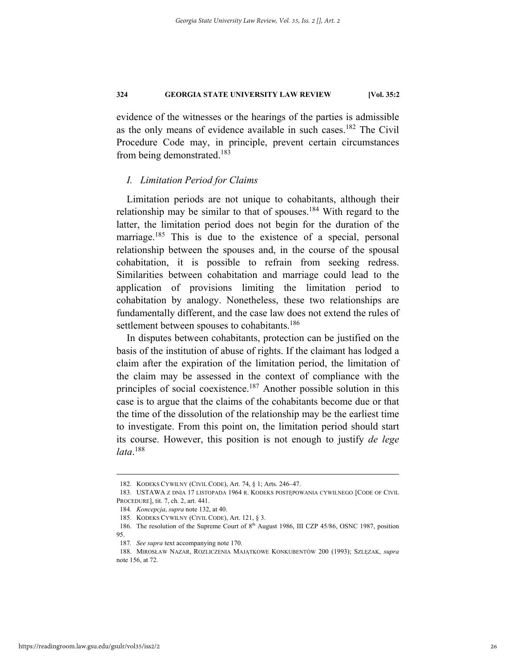evidence of the witnesses or the hearings of the parties is admissible as the only means of evidence available in such cases.<sup>182</sup> The Civil Procedure Code may, in principle, prevent certain circumstances from being demonstrated.<sup>183</sup>

#### *I. Limitation Period for Claims*

Limitation periods are not unique to cohabitants, although their relationship may be similar to that of spouses.<sup>184</sup> With regard to the latter, the limitation period does not begin for the duration of the marriage.<sup>185</sup> This is due to the existence of a special, personal relationship between the spouses and, in the course of the spousal cohabitation, it is possible to refrain from seeking redress. Similarities between cohabitation and marriage could lead to the application of provisions limiting the limitation period to cohabitation by analogy. Nonetheless, these two relationships are fundamentally different, and the case law does not extend the rules of settlement between spouses to cohabitants.<sup>186</sup>

In disputes between cohabitants, protection can be justified on the basis of the institution of abuse of rights. If the claimant has lodged a claim after the expiration of the limitation period, the limitation of the claim may be assessed in the context of compliance with the principles of social coexistence.187 Another possible solution in this case is to argue that the claims of the cohabitants become due or that the time of the dissolution of the relationship may be the earliest time to investigate. From this point on, the limitation period should start its course. However, this position is not enough to justify *de lege lata*. 188

 <sup>182.</sup> KODEKS CYWILNY (CIVIL CODE), Art. 74, § 1; Arts. 246–47.

 <sup>183.</sup> USTAWA Z DNIA 17 LISTOPADA 1964 R. KODEKS POSTĘPOWANIA CYWILNEGO [CODE OF CIVIL PROCEDURE], tit. 7, ch. 2, art. 441.

<sup>184</sup>*. Koncepcja*, *supra* note 132, at 40.

 <sup>185.</sup> KODEKS CYWILNY (CIVIL CODE), Art. 121, § 3.

<sup>186.</sup> The resolution of the Supreme Court of 8<sup>th</sup> August 1986, III CZP 45/86, OSNC 1987, position 95.

<sup>187</sup>*. See supra* text accompanying note 170.

 <sup>188.</sup> MIROSŁAW NAZAR, ROZLICZENIA MAJĄTKOWE KONKUBENTÓW 200 (1993); SZLĘZAK, *supra*  note 156, at 72.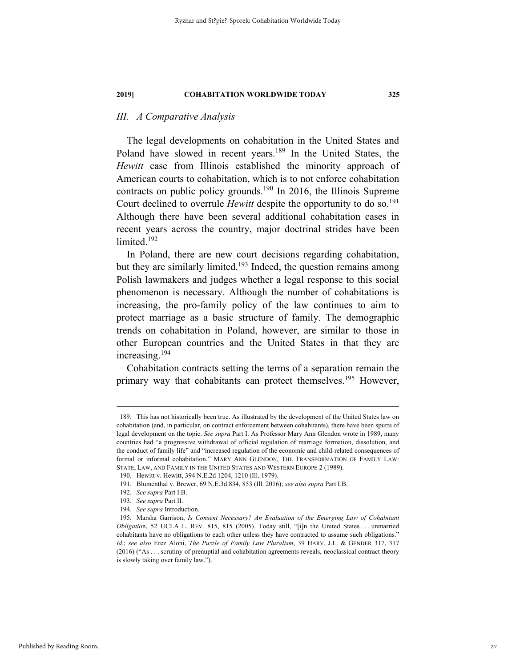## *III. A Comparative Analysis*

The legal developments on cohabitation in the United States and Poland have slowed in recent years.<sup>189</sup> In the United States, the *Hewitt* case from Illinois established the minority approach of American courts to cohabitation, which is to not enforce cohabitation contracts on public policy grounds.<sup>190</sup> In 2016, the Illinois Supreme Court declined to overrule *Hewitt* despite the opportunity to do so.<sup>191</sup> Although there have been several additional cohabitation cases in recent years across the country, major doctrinal strides have been limited.<sup>192</sup>

In Poland, there are new court decisions regarding cohabitation, but they are similarly limited.<sup>193</sup> Indeed, the question remains among Polish lawmakers and judges whether a legal response to this social phenomenon is necessary. Although the number of cohabitations is increasing, the pro-family policy of the law continues to aim to protect marriage as a basic structure of family. The demographic trends on cohabitation in Poland, however, are similar to those in other European countries and the United States in that they are increasing.194

Cohabitation contracts setting the terms of a separation remain the primary way that cohabitants can protect themselves.<sup>195</sup> However,

 <sup>189.</sup> This has not historically been true. As illustrated by the development of the United States law on cohabitation (and, in particular, on contract enforcement between cohabitants), there have been spurts of legal development on the topic. *See supra* Part I. As Professor Mary Ann Glendon wrote in 1989, many countries had "a progressive withdrawal of official regulation of marriage formation, dissolution, and the conduct of family life" and "increased regulation of the economic and child-related consequences of formal or informal cohabitation." MARY ANN GLENDON, THE TRANSFORMATION OF FAMILY LAW: STATE, LAW, AND FAMILY IN THE UNITED STATES AND WESTERN EUROPE 2 (1989).

 <sup>190.</sup> Hewitt v. Hewitt, 394 N.E.2d 1204, 1210 (Ill. 1979).

 <sup>191.</sup> Blumenthal v. Brewer, 69 N.E.3d 834, 853 (Ill. 2016); *see also supra* Part I.B.

<sup>192</sup>*. See supra* Part I.B.

<sup>193</sup>*. See supra* Part II.

<sup>194</sup>*. See supra* Introduction.

 <sup>195.</sup> Marsha Garrison, *Is Consent Necessary? An Evaluation of the Emerging Law of Cohabitant Obligatio*n, 52 UCLA L. REV. 815, 815 (2005). Today still, "[i]n the United States . . . unmarried cohabitants have no obligations to each other unless they have contracted to assume such obligations." *Id.*; *see also* Erez Aloni, *The Puzzle of Family Law Pluralism*, 39 HARV. J.L. & GENDER 317, 317 (2016) ("As . . . scrutiny of prenuptial and cohabitation agreements reveals, neoclassical contract theory is slowly taking over family law.").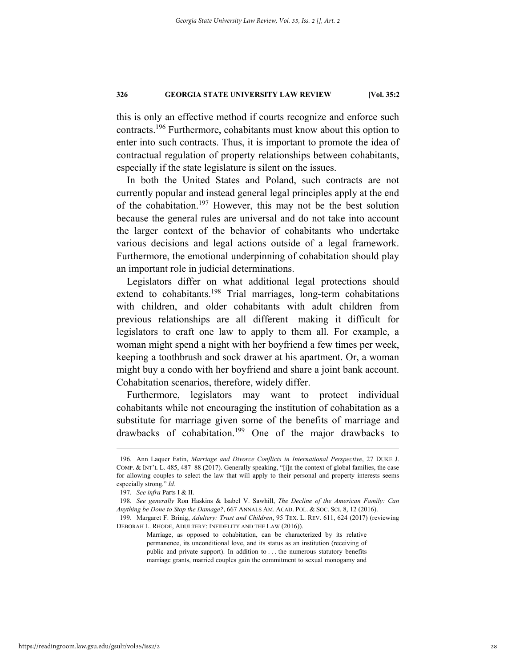this is only an effective method if courts recognize and enforce such contracts.196 Furthermore, cohabitants must know about this option to enter into such contracts. Thus, it is important to promote the idea of contractual regulation of property relationships between cohabitants, especially if the state legislature is silent on the issues.

In both the United States and Poland, such contracts are not currently popular and instead general legal principles apply at the end of the cohabitation.197 However, this may not be the best solution because the general rules are universal and do not take into account the larger context of the behavior of cohabitants who undertake various decisions and legal actions outside of a legal framework. Furthermore, the emotional underpinning of cohabitation should play an important role in judicial determinations.

Legislators differ on what additional legal protections should extend to cohabitants.<sup>198</sup> Trial marriages, long-term cohabitations with children, and older cohabitants with adult children from previous relationships are all different—making it difficult for legislators to craft one law to apply to them all. For example, a woman might spend a night with her boyfriend a few times per week, keeping a toothbrush and sock drawer at his apartment. Or, a woman might buy a condo with her boyfriend and share a joint bank account. Cohabitation scenarios, therefore, widely differ.

Furthermore, legislators may want to protect individual cohabitants while not encouraging the institution of cohabitation as a substitute for marriage given some of the benefits of marriage and drawbacks of cohabitation.<sup>199</sup> One of the major drawbacks to

 <sup>196.</sup> Ann Laquer Estin, *Marriage and Divorce Conflicts in International Perspective*, 27 DUKE J. COMP. & INT'L L. 485, 487–88 (2017). Generally speaking, "[i]n the context of global families, the case for allowing couples to select the law that will apply to their personal and property interests seems especially strong." *Id.*

<sup>197</sup>*. See infra* Parts I & II.

<sup>198</sup>*. See generally* Ron Haskins & Isabel V. Sawhill, *The Decline of the American Family: Can Anything be Done to Stop the Damage?*, 667 ANNALS AM. ACAD. POL. & SOC. SCI. 8, 12 (2016).

 <sup>199.</sup> Margaret F. Brinig, *Adultery: Trust and Children*, 95 TEX. L. REV. 611, 624 (2017) (reviewing DEBORAH L. RHODE, ADULTERY: INFIDELITY AND THE LAW (2016)).

Marriage, as opposed to cohabitation, can be characterized by its relative permanence, its unconditional love, and its status as an institution (receiving of public and private support). In addition to . . . the numerous statutory benefits marriage grants, married couples gain the commitment to sexual monogamy and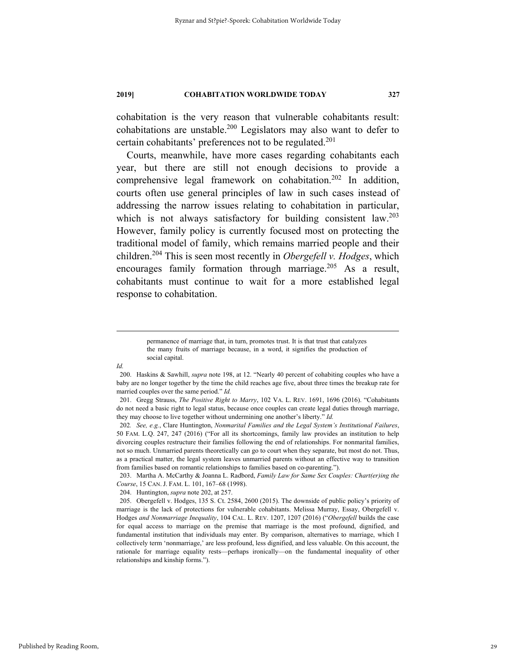cohabitation is the very reason that vulnerable cohabitants result: cohabitations are unstable.200 Legislators may also want to defer to certain cohabitants' preferences not to be regulated.<sup>201</sup>

Courts, meanwhile, have more cases regarding cohabitants each year, but there are still not enough decisions to provide a comprehensive legal framework on cohabitation.<sup>202</sup> In addition, courts often use general principles of law in such cases instead of addressing the narrow issues relating to cohabitation in particular, which is not always satisfactory for building consistent  $law.^{203}$ However, family policy is currently focused most on protecting the traditional model of family, which remains married people and their children.204 This is seen most recently in *Obergefell v. Hodges*, which encourages family formation through marriage.<sup>205</sup> As a result, cohabitants must continue to wait for a more established legal response to cohabitation.

*Id.* 

204. Huntington, *supra* note 202, at 257.

permanence of marriage that, in turn, promotes trust. It is that trust that catalyzes the many fruits of marriage because, in a word, it signifies the production of social capital.

 <sup>200.</sup> Haskins & Sawhill, *supra* note 198, at 12. "Nearly 40 percent of cohabiting couples who have a baby are no longer together by the time the child reaches age five, about three times the breakup rate for married couples over the same period." *Id.*

 <sup>201.</sup> Gregg Strauss, *The Positive Right to Marry*, 102 VA. L. REV. 1691, 1696 (2016). "Cohabitants do not need a basic right to legal status, because once couples can create legal duties through marriage, they may choose to live together without undermining one another's liberty." *Id.*

<sup>202</sup>*. See, e.g.*, Clare Huntington, *Nonmarital Families and the Legal System's Institutional Failures*, 50 FAM. L.Q. 247, 247 (2016) ("For all its shortcomings, family law provides an institution to help divorcing couples restructure their families following the end of relationships. For nonmarital families, not so much. Unmarried parents theoretically can go to court when they separate, but most do not. Thus, as a practical matter, the legal system leaves unmarried parents without an effective way to transition from families based on romantic relationships to families based on co-parenting.").

 <sup>203.</sup> Martha A. McCarthy & Joanna L. Radbord, *Family Law for Same Sex Couples: Chart(er)ing the Course*, 15 CAN. J. FAM. L. 101, 167–68 (1998).

 <sup>205.</sup> Obergefell v. Hodges, 135 S. Ct. 2584, 2600 (2015). The downside of public policy's priority of marriage is the lack of protections for vulnerable cohabitants. Melissa Murray, Essay, Obergefell v. Hodges *and Nonmarriage Inequality*, 104 CAL. L. REV. 1207, 1207 (2016) ("*Obergefell* builds the case for equal access to marriage on the premise that marriage is the most profound, dignified, and fundamental institution that individuals may enter. By comparison, alternatives to marriage, which I collectively term 'nonmarriage,' are less profound, less dignified, and less valuable. On this account, the rationale for marriage equality rests—perhaps ironically—on the fundamental inequality of other relationships and kinship forms.").